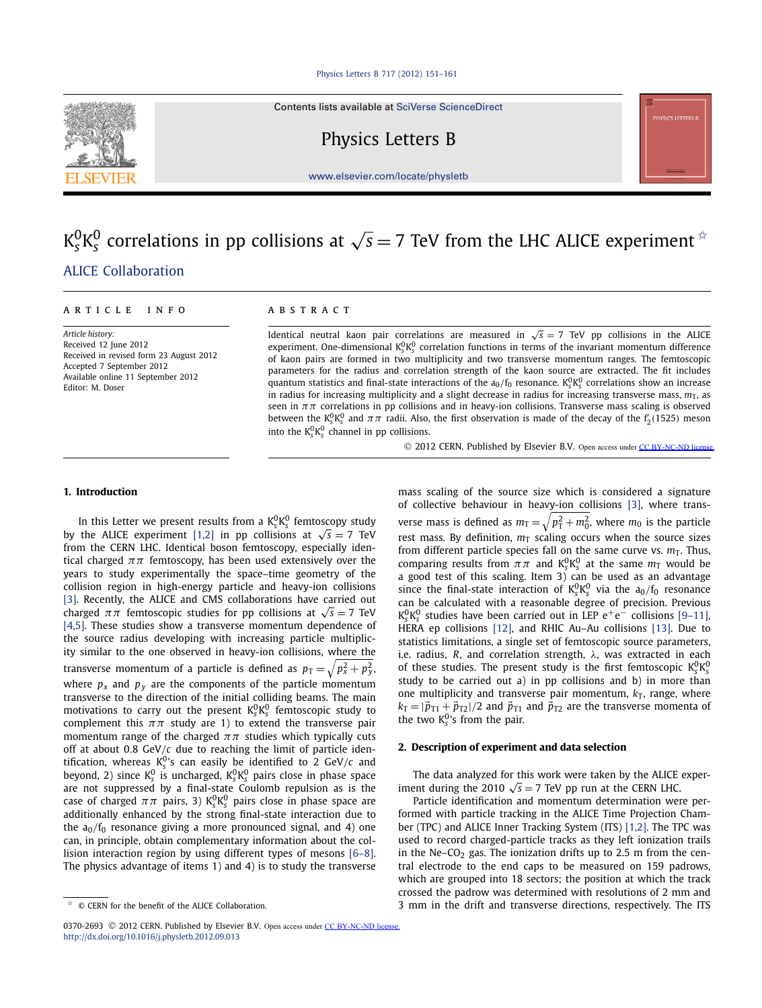Contents lists available at [SciVerse ScienceDirect](http://www.ScienceDirect.com/)

Physics Letters B

[www.elsevier.com/locate/physletb](http://www.elsevier.com/locate/physletb)

# $\rm K^0_sK^0_s$  correlations in pp collisions at  $\sqrt{s}=7$  TeV from the LHC ALICE experiment  $^\star$ [.ALICE Collaboration](#page-5-0)

#### *Article history:*

Received 12 June 2012 Received in revised form 23 August 2012 Accepted 7 September 2012 Available online 11 September 2012 Editor: M. Doser

# article info abstract

Identical neutral kaon pair correlations are measured in  $\sqrt{s} = 7$  TeV pp collisions in the ALICE experiment. One-dimensional  $K_S^0 K_S^0$  correlation functions in terms of the invariant momentum difference of kaon pairs are formed in two multiplicity and two transverse momentum ranges. The femtoscopic parameters for the radius and correlation strength of the kaon source are extracted. The fit includes quantum statistics and final-state interactions of the  $a_0/f_0$  resonance.  $K_s^0K_s^0$  correlations show an increase in radius for increasing multiplicity and a slight decrease in radius for increasing transverse mass,  $m<sub>T</sub>$ , as seen in *ππ* correlations in pp collisions and in heavy-ion collisions. Transverse mass scaling is observed between the  $K_s^0 K_s^0$  and  $\pi\pi$  radii. Also, the first observation is made of the decay of the f<sub>2</sub>(1525) meson into the  $K_s^0 K_s^0$  channel in pp collisions.

© 2012 CERN. Published by Elsevier B.V. Open access under [CC BY-NC-ND license.](http://creativecommons.org/licenses/by-nc-nd/4.0/)

# **1. Introduction**

In this Letter we present results from a  $K_s^0 K_s^0$  femtoscopy study by the ALICE experiment [\[1,2\]](#page-5-0) in pp collisions at  $\sqrt{s} = 7$  TeV from the CERN LHC. Identical boson femtoscopy, especially identical charged  $\pi\pi$  femtoscopy, has been used extensively over the years to study experimentally the space–time geometry of the collision region in high-energy particle and heavy-ion collisions [\[3\].](#page-5-0) Recently, the ALICE and CMS collaborations have carried out charged  $\pi\pi$  femtoscopic studies for pp collisions at  $\sqrt{s} = 7$  TeV [\[4,5\].](#page-5-0) These studies show a transverse momentum dependence of the source radius developing with increasing particle multiplicity similar to the one observed in heavy-ion collisions, where the transverse momentum of a particle is defined as  $p_{\text{T}} = \sqrt{p_x^2 + p_y^2}$ , where  $p_x$  and  $p_y$  are the components of the particle momentum transverse to the direction of the initial colliding beams. The main motivations to carry out the present  $K_s^0K_s^0$  femtoscopic study to complement this  $\pi\pi$  study are 1) to extend the transverse pair momentum range of the charged  $\pi\pi$  studies which typically cuts off at about 0*.*8 GeV*/c* due to reaching the limit of particle identification, whereas  $K_s^0$ 's can easily be identified to 2 GeV/*c* and beyond, 2) since K<sub>S</sub><sup>0</sup> is uncharged, K<sub>S</sub>K<sub>S</sub><sup>0</sup> pairs close in phase space are not suppressed by a final-state Coulomb repulsion as is the case of charged  $\pi\pi$  pairs, 3)  $\mathrm{K^0_sK^0_s}$  pairs close in phase space are additionally enhanced by the strong final-state interaction due to the a<sub>0</sub>/f<sub>0</sub> resonance giving a more pronounced signal, and 4) one can, in principle, obtain complementary information about the collision interaction region by using different types of mesons [\[6–8\].](#page-5-0) The physics advantage of items 1) and 4) is to study the transverse mass scaling of the source size which is considered a signature of collective behaviour in heavy-ion collisions [\[3\],](#page-5-0) where transverse mass is defined as  $m_{\rm T} = \sqrt{p_{\rm T}^2 + m_0^2}$ , where  $m_0$  is the particle rest mass. By definition,  $m<sub>T</sub>$  scaling occurs when the source sizes from different particle species fall on the same curve vs.  $m<sub>T</sub>$ . Thus, comparing results from  $\pi\pi$  and  $K_s^0K_s^0$  at the same  $m<sub>T</sub>$  would be a good test of this scaling. Item 3) can be used as an advantage since the final-state interaction of  $K_s^0 K_s^0$  via the  $a_0/f_0$  resonance can be calculated with a reasonable degree of precision. Previous K<sup>0</sup><sub>s</sub>K<sub>s</sub> studies have been carried out in LEP e<sup>+</sup>e<sup>−</sup> collisions [\[9–11\],](#page-5-0) HERA ep collisions [\[12\],](#page-5-0) and RHIC Au–Au collisions [\[13\].](#page-5-0) Due to statistics limitations, a single set of femtoscopic source parameters, i.e. radius, *R*, and correlation strength, *λ*, was extracted in each of these studies. The present study is the first femtoscopic  $K_s^0 K_s^0$ study to be carried out a) in pp collisions and b) in more than one multiplicity and transverse pair momentum,  $k<sub>T</sub>$ , range, where  $k_T = |\vec{p}_{T1} + \vec{p}_{T2}|/2$  and  $\vec{p}_{T1}$  and  $\vec{p}_{T2}$  are the transverse momenta of the two  $K_s^0$ 's from the pair.

## **2. Description of experiment and data selection**

The data analyzed for this work were taken by the ALICE experiment during the 2010  $\sqrt{s}$  = 7 TeV pp run at the CERN LHC.

Particle identification and momentum determination were performed with particle tracking in the ALICE Time Projection Chamber (TPC) and ALICE Inner Tracking System (ITS) [\[1,2\].](#page-5-0) The TPC was used to record charged-particle tracks as they left ionization trails in the Ne–CO<sub>2</sub> gas. The ionization drifts up to 2.5 m from the central electrode to the end caps to be measured on 159 padrows, which are grouped into 18 sectors; the position at which the track crossed the padrow was determined with resolutions of 2 mm and 3 mm in the drift and transverse directions, respectively. The ITS



<sup>✩</sup> © CERN for the benefit of the ALICE Collaboration.

<sup>0370-2693 © 2012</sup> CERN. Published by Elsevier B.V. Open access under [CC BY-NC-ND license.](http://creativecommons.org/licenses/by-nc-nd/4.0/) <http://dx.doi.org/10.1016/j.physletb.2012.09.013>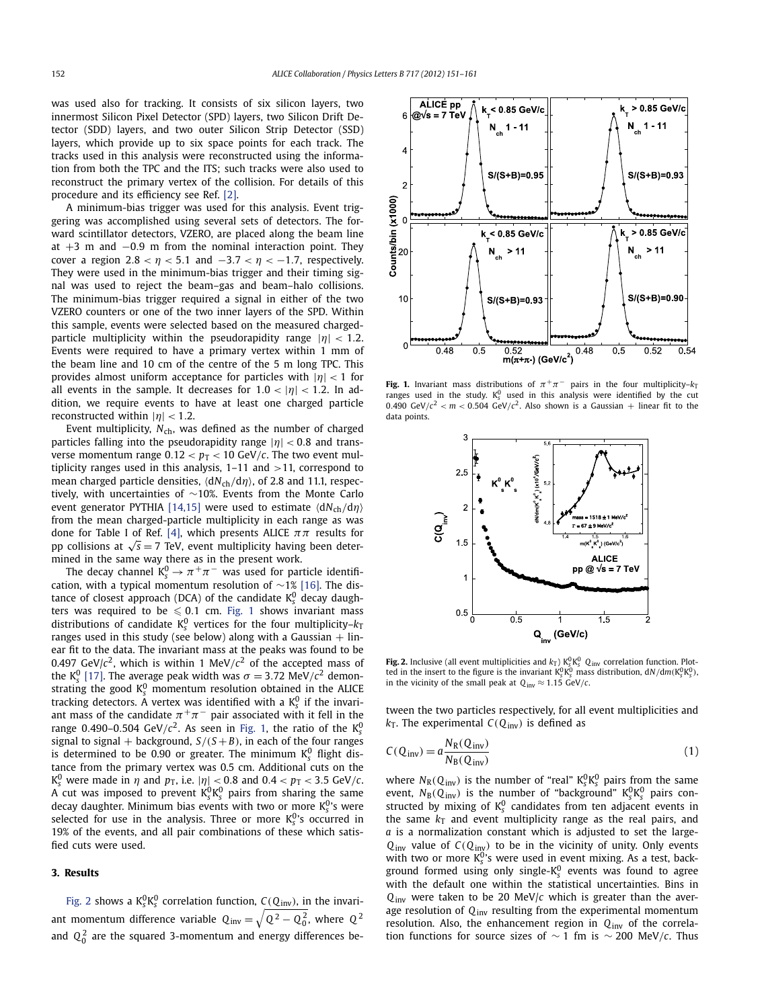<span id="page-1-0"></span>was used also for tracking. It consists of six silicon layers, two innermost Silicon Pixel Detector (SPD) layers, two Silicon Drift Detector (SDD) layers, and two outer Silicon Strip Detector (SSD) layers, which provide up to six space points for each track. The tracks used in this analysis were reconstructed using the information from both the TPC and the ITS; such tracks were also used to reconstruct the primary vertex of the collision. For details of this procedure and its efficiency see Ref. [\[2\].](#page-5-0)

A minimum-bias trigger was used for this analysis. Event triggering was accomplished using several sets of detectors. The forward scintillator detectors, VZERO, are placed along the beam line at +3 m and −0*.*9 m from the nominal interaction point. They cover a region  $2.8 < \eta < 5.1$  and  $-3.7 < \eta < -1.7$ , respectively. They were used in the minimum-bias trigger and their timing signal was used to reject the beam–gas and beam–halo collisions. The minimum-bias trigger required a signal in either of the two VZERO counters or one of the two inner layers of the SPD. Within this sample, events were selected based on the measured chargedparticle multiplicity within the pseudorapidity range |*η*| *<* <sup>1</sup>*.*2. Events were required to have a primary vertex within 1 mm of the beam line and 10 cm of the centre of the 5 m long TPC. This provides almost uniform acceptance for particles with |*η*| *<* 1 for all events in the sample. It decreases for  $1.0 < |\eta| < 1.2$ . In addition, we require events to have at least one charged particle reconstructed within  $|\eta|$  < 1.2.

Event multiplicity, N<sub>ch</sub>, was defined as the number of charged particles falling into the pseudorapidity range |*η*| *<* <sup>0</sup>*.*8 and transverse momentum range  $0.12 < p_T < 10$  GeV/*c*. The two event multiplicity ranges used in this analysis, 1–11 and *>*11, correspond to mean charged particle densities,  $\langle dN_{ch}/dη \rangle$ , of 2.8 and 11.1, respectively, with uncertainties of ∼10%. Events from the Monte Carlo event generator PYTHIA [\[14,15\]](#page-5-0) were used to estimate  $\langle dN_{ch}/dη \rangle$ from the mean charged-particle multiplicity in each range as was done for Table I of Ref. [\[4\],](#page-5-0) which presents ALICE *ππ* results for pp collisions at  $\sqrt{s}$  = 7 TeV, event multiplicity having been determined in the same way there as in the present work.

The decay channel  $K_s^0 \rightarrow \pi^+\pi^-$  was used for particle identification, with a typical momentum resolution of ∼1% [\[16\].](#page-5-0) The distance of closest approach (DCA) of the candidate K<sup>0</sup><sub>s</sub> decay daughters was required to be  $\leqslant 0.1$  cm. Fig. 1 shows invariant mass distributions of candidate  $K_s^0$  vertices for the four multiplicity– $k_T$ ranges used in this study (see below) along with a Gaussian  $+$  linear fit to the data. The invariant mass at the peaks was found to be 0.497 GeV/ $c^2$ , which is within 1 MeV/ $c^2$  of the accepted mass of the K<sup>0</sup><sub>s</sub> [\[17\].](#page-5-0) The average peak width was  $\sigma = 3.72 \text{ MeV}/c^2$  demonstrating the good  $K^0_s$  momentum resolution obtained in the ALICE tracking detectors. A vertex was identified with a K<sub>s</sub> if the invariant mass of the candidate  $\pi^+\pi^-$  pair associated with it fell in the range 0.490–0.504 GeV/ $c^2$ . As seen in Fig. 1, the ratio of the  $\text{K}_{\text{s}}^0$ signal to signal  $+$  background,  $S/(S+B)$ , in each of the four ranges is determined to be 0.90 or greater. The minimum  $K_{\rm s}^0$  flight distance from the primary vertex was 0.5 cm. Additional cuts on the  $K_s^0$  were made in  $\eta$  and  $p_T$ , i.e.  $|\eta| < 0.8$  and  $0.4 < p_T < 3.5$  GeV/c.<br>A cut was imposed to prevent  $K_s^0 K_s^0$  pairs from sharing the same decay daughter. Minimum bias events with two or more K<sup>0</sup>'s were selected for use in the analysis. Three or more K<sup>0</sup>'s occurred in 19% of the events, and all pair combinations of these which satisfied cuts were used.

# **3. Results**

Fig. 2 shows a  $K_s^0 K_s^0$  correlation function,  $C(Q_{\text{inv}})$ , in the invariant momentum difference variable  $\mathrm{Q_{inv}} = \sqrt{\mathrm{Q^2} - \mathrm{Q_0^{\,2}}}$ , where  $\mathrm{Q^2}$ and  $Q_0^2$  are the squared 3-momentum and energy differences be-



**Fig. 1.** Invariant mass distributions of  $\pi^+\pi^-$  pairs in the four multiplicity– $k_T$ ranges used in the study.  $K_s^0$  used in this analysis were identified by the cut 0.490 GeV/ $c^2$  <  $m$  < 0.504 GeV/ $c^2$ . Also shown is a Gaussian + linear fit to the data points.



**Fig. 2.** Inclusive (all event multiplicities and  $k_T$ )  $K_S^0 K_S^0$   $Q_{inv}$  correlation function. Plotted in the insert to the figure is the invariant  $K_s^0 K_s^0$  mass distribution,  $dN/dm(K_s^0 K_s^0)$ in the vicinity of the small peak at  $Q_{inv} \approx 1.15 \text{ GeV}/c$ .

tween the two particles respectively, for all event multiplicities and  $k<sub>T</sub>$ . The experimental  $C(Q_{inv})$  is defined as

$$
C(Q_{\text{inv}}) = a \frac{N_{\text{R}}(Q_{\text{inv}})}{N_{\text{B}}(Q_{\text{inv}})}
$$
\n(1)

where  $N_R(Q_{\text{inv}})$  is the number of "real"  $K_s^0 K_s^0$  pairs from the same event,  $N_B(Q_{inv})$  is the number of "background"  $K_s^0 K_s^0$  pairs constructed by mixing of  $K_s^0$  candidates from ten adjacent events in the same  $k<sub>T</sub>$  and event multiplicity range as the real pairs, and *a* is a normalization constant which is adjusted to set the large- $Q_{inv}$  value of  $C(Q_{inv})$  to be in the vicinity of unity. Only events with two or more  $K_s^0$ 's were used in event mixing. As a test, background formed using only single-K<sup>0</sup><sub>s</sub> events was found to agree with the default one within the statistical uncertainties. Bins in *Q*inv were taken to be 20 MeV/*c* which is greater than the average resolution of *Q*inv resulting from the experimental momentum resolution. Also, the enhancement region in *Q*inv of the correlation functions for source sizes of ∼ 1 fm is ∼ 200 MeV*/c*. Thus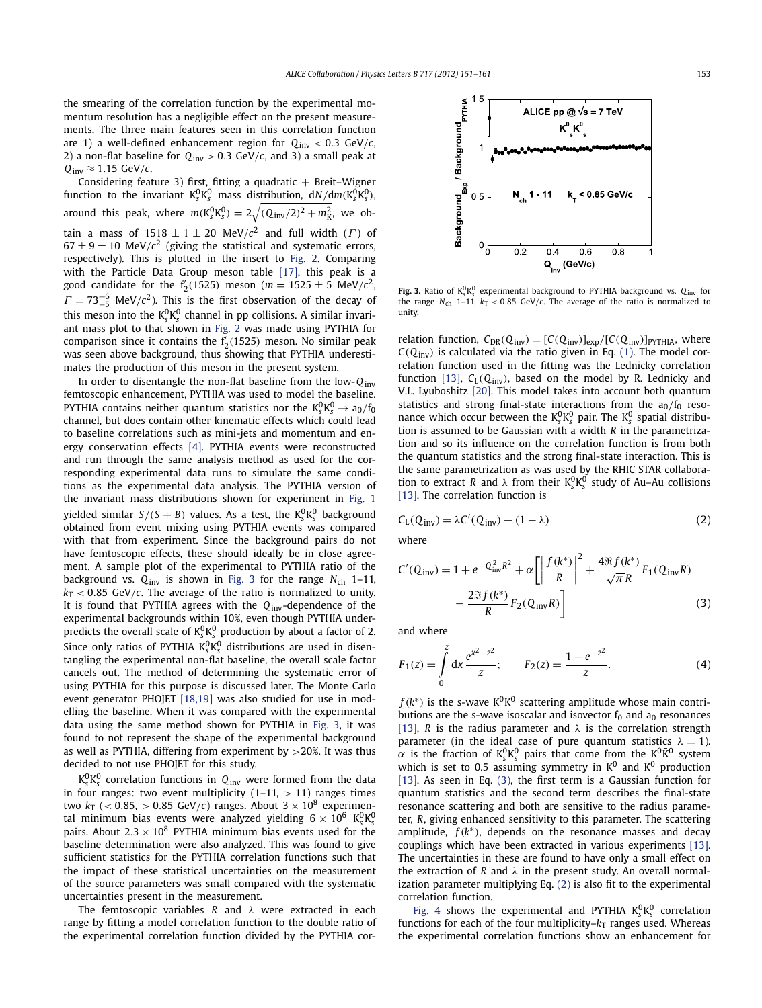<span id="page-2-0"></span>the smearing of the correlation function by the experimental momentum resolution has a negligible effect on the present measurements. The three main features seen in this correlation function are 1) a well-defined enhancement region for *Q*inv *<* 0*.*3 GeV*/c*, 2) a non-flat baseline for  $Q_{\text{inv}} > 0.3$  GeV/*c*, and 3) a small peak at  $Q_{inv} \approx 1.15 \text{ GeV}/c$ .

Considering feature 3) first, fitting a quadratic + Breit–Wigner<br>function to the invariant  $K_s^0 K_s^0$  mass distribution,  $dN/dm(K_s^0 K_s^0)$ , around this peak, where  $m(K_s^0 K_s^0) = 2\sqrt{(Q_{\text{inv}}/2)^2 + m_K^2}$ , we obtain a mass of  $1518 \pm 1 \pm 20$  MeV/ $c^2$  and full width (*Γ*) of  $67 \pm 9 \pm 10$  MeV/ $c^2$  (giving the statistical and systematic errors, respectively). This is plotted in the insert to [Fig. 2.](#page-1-0) Comparing with the Particle Data Group meson table [\[17\],](#page-5-0) this peak is a good candidate for the  $f'_2(1525)$  meson ( $m = 1525 \pm 5$  MeV/ $c^2$ ,  $\Gamma = 73^{+6}_{-5}$  MeV/*c*<sup>2</sup>). This is the first observation of the decay of this meson into the  $K_s^0 K_s^0$  channel in pp collisions. A similar invariant mass plot to that shown in [Fig. 2](#page-1-0) was made using PYTHIA for comparison since it contains the f <sup>2</sup>*(*1525*)* meson. No similar peak was seen above background, thus showing that PYTHIA underestimates the production of this meson in the present system.

In order to disentangle the non-flat baseline from the low-*Q*inv femtoscopic enhancement, PYTHIA was used to model the baseline. PYTHIA contains neither quantum statistics nor the  $K_s^0 K_s^0 \rightarrow a_0/f_0$ channel, but does contain other kinematic effects which could lead to baseline correlations such as mini-jets and momentum and energy conservation effects [\[4\].](#page-5-0) PYTHIA events were reconstructed and run through the same analysis method as used for the corresponding experimental data runs to simulate the same conditions as the experimental data analysis. The PYTHIA version of the invariant mass distributions shown for experiment in [Fig. 1](#page-1-0) yielded similar  $S/(S + B)$  values. As a test, the  $K_s^0 K_s^0$  background obtained from event mixing using PYTHIA events was compared with that from experiment. Since the background pairs do not have femtoscopic effects, these should ideally be in close agreement. A sample plot of the experimental to PYTHIA ratio of the background vs.  $Q_{inv}$  is shown in Fig. 3 for the range  $N_{ch}$  1–11,  $k<sub>T</sub> < 0.85$  GeV/*c*. The average of the ratio is normalized to unity. It is found that PYTHIA agrees with the *Q*inv-dependence of the experimental backgrounds within 10%, even though PYTHIA underpredicts the overall scale of  $K_{\rm s}^{\rm 0} K_{\rm s}^{\rm 0}$  production by about a factor of 2. Since only ratios of PYTHIA  $K_S^0 K_S^0$  distributions are used in disentangling the experimental non-flat baseline, the overall scale factor cancels out. The method of determining the systematic error of using PYTHIA for this purpose is discussed later. The Monte Carlo event generator PHOJET [\[18,19\]](#page-5-0) was also studied for use in modelling the baseline. When it was compared with the experimental data using the same method shown for PYTHIA in Fig. 3, it was found to not represent the shape of the experimental background as well as PYTHIA, differing from experiment by *>*20%. It was thus decided to not use PHOJET for this study.

 $\rm\,K_s^0\rm\,K_s^0$  correlation functions in  $\rm\,Q_{inv}$  were formed from the data in four ranges: two event multiplicity (1–11, *>* 11) ranges times two  $k_T$  ( $<$  0.85,  $>$  0.85 GeV/c) ranges. About  $3 \times 10^8$  experimental minimum bias events were analyzed yielding  $6 \times 10^6$  K<sup>o</sup><sub>S</sub>K<sup>o</sup><sub>S</sub> pairs. About  $2.3 \times 10^8$  PYTHIA minimum bias events used for the baseline determination were also analyzed. This was found to give sufficient statistics for the PYTHIA correlation functions such that the impact of these statistical uncertainties on the measurement of the source parameters was small compared with the systematic uncertainties present in the measurement.

The femtoscopic variables *R* and *λ* were extracted in each range by fitting a model correlation function to the double ratio of the experimental correlation function divided by the PYTHIA cor-

**Fig. 3.** Ratio of  $K_s^0 K_s^0$  experimental background to PYTHIA background vs.  $Q_{\text{inv}}$  for the range  $N_{\text{ch}}$  1–11,  $k_{\text{T}}$  < 0.85 GeV/*c*. The average of the ratio is normalized to unity.

relation function,  $C_{DR}(Q_{inv}) = [C(Q_{inv})]_{exp}/[C(Q_{inv})]_{PYTHIA}$ , where  $C(Q_{\text{inv}})$  is calculated via the ratio given in Eq. [\(1\).](#page-1-0) The model correlation function used in the fitting was the Lednicky correlation function [\[13\],](#page-5-0)  $C_L(Q_{\text{inv}})$ , based on the model by R. Lednicky and V.L. Lyuboshitz [\[20\].](#page-5-0) This model takes into account both quantum statistics and strong final-state interactions from the  $a_0/f_0$  resonance which occur between the  $K_{\rm s}^0 K_{\rm s}^0$  pair. The  $K_{\rm s}^0$  spatial distribution is assumed to be Gaussian with a width *R* in the parametrization and so its influence on the correlation function is from both the quantum statistics and the strong final-state interaction. This is the same parametrization as was used by the RHIC STAR collaboration to extract *R* and  $\lambda$  from their  $K_s^0 K_s^0$  study of Au–Au collisions [\[13\].](#page-5-0) The correlation function is

$$
C_{L}(Q_{\text{inv}}) = \lambda C'(Q_{\text{inv}}) + (1 - \lambda)
$$
\n(2)

where

$$
C'(Q_{\text{inv}}) = 1 + e^{-Q_{\text{inv}}^2 R^2} + \alpha \left[ \left| \frac{f(k^*)}{R} \right|^2 + \frac{4 \Re f(k^*)}{\sqrt{\pi} R} F_1(Q_{\text{inv}} R) - \frac{2 \Im f(k^*)}{R} F_2(Q_{\text{inv}} R) \right]
$$
(3)

and where

$$
F_1(z) = \int_0^z dx \frac{e^{x^2 - z^2}}{z}; \qquad F_2(z) = \frac{1 - e^{-z^2}}{z}.
$$
 (4)

 $f(k^*)$  is the s-wave  $K^0\overline{K}^0$  scattering amplitude whose main contributions are the s-wave isoscalar and isovector  $f_0$  and  $a_0$  resonances [\[13\],](#page-5-0) *R* is the radius parameter and  $\lambda$  is the correlation strength parameter (in the ideal case of pure quantum statistics  $\lambda = 1$ ). *α* is the fraction of  $K_S^0 K_S^0$  pairs that come from the  $K^0 \overline{K}{}^0$  system which is set to 0.5 assuming symmetry in  $K^0$  and  $\bar{K}^0$  production [\[13\].](#page-5-0) As seen in Eq. (3), the first term is a Gaussian function for quantum statistics and the second term describes the final-state resonance scattering and both are sensitive to the radius parameter, *R*, giving enhanced sensitivity to this parameter. The scattering amplitude,  $f(k^*)$ , depends on the resonance masses and decay couplings which have been extracted in various experiments [\[13\].](#page-5-0) The uncertainties in these are found to have only a small effect on the extraction of *R* and *λ* in the present study. An overall normalization parameter multiplying Eq. (2) is also fit to the experimental correlation function.

[Fig. 4](#page-3-0) shows the experimental and PYTHIA  $K_S^0 K_S^0$  correlation functions for each of the four multiplicity– $k<sub>T</sub>$  ranges used. Whereas the experimental correlation functions show an enhancement for

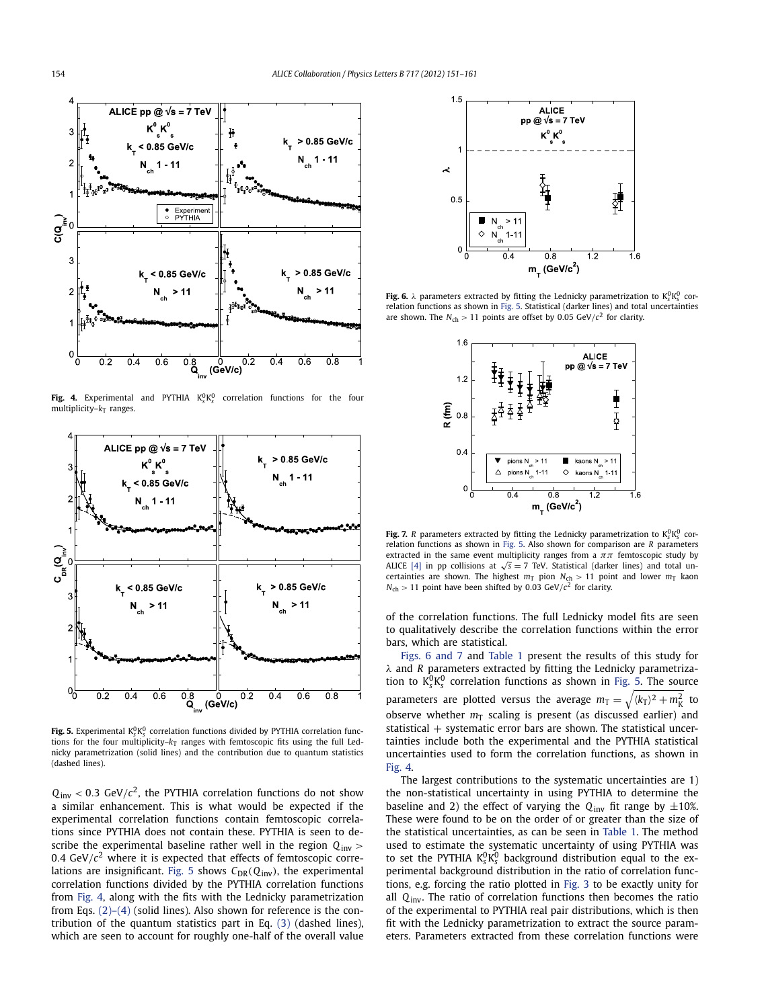<span id="page-3-0"></span>

**Fig. 4.** Experimental and <code>PYTHIA</code>  $K_s^0 K_s^0$  correlation functions for the four multiplicity– $k_T$  ranges.



**Fig. 5.** Experimental  $K_{\scriptscriptstyle S}^0 K_{\scriptscriptstyle S}^0$  correlation functions divided by PYTHIA correlation functions for the four multiplicity- $k<sub>T</sub>$  ranges with femtoscopic fits using the full Lednicky parametrization (solid lines) and the contribution due to quantum statistics (dashed lines).

 $Q_{\text{inv}}$  < 0.3 GeV/ $c^2$ , the PYTHIA correlation functions do not show a similar enhancement. This is what would be expected if the experimental correlation functions contain femtoscopic correlations since PYTHIA does not contain these. PYTHIA is seen to describe the experimental baseline rather well in the region *Q*inv *>* 0.4  $GeV/c^2$  where it is expected that effects of femtoscopic correlations are insignificant. Fig. 5 shows  $C_{DR}(Q_{inv})$ , the experimental correlation functions divided by the PYTHIA correlation functions from Fig. 4, along with the fits with the Lednicky parametrization from Eqs.  $(2)-(4)$  (solid lines). Also shown for reference is the contribution of the quantum statistics part in Eq. [\(3\)](#page-2-0) (dashed lines), which are seen to account for roughly one-half of the overall value



**Fig. 6.**  $\lambda$  parameters extracted by fitting the Lednicky parametrization to  $K_s^0 K_s^0$  correlation functions as shown in Fig. 5. Statistical (darker lines) and total uncertainties are shown. The  $N_{\text{ch}} > 11$  points are offset by 0.05 GeV/ $c^2$  for clarity.



**Fig. 7.** *R* parameters extracted by fitting the Lednicky parametrization to  $K_s^0 K_s^0$  correlation functions as shown in Fig. 5. Also shown for comparison are *R* parameters extracted in the same event multiplicity ranges from a  $\pi\pi$  femtoscopic study by ALICE [\[4\]](#page-5-0) in pp collisions at  $\sqrt{s} = 7$  TeV. Statistical (darker lines) and total uncertainties are shown. The highest  $m<sub>T</sub>$  pion  $N<sub>ch</sub> > 11$  point and lower  $m<sub>T</sub>$  kaon  $N_{\rm ch}$  > 11 point have been shifted by 0.03 GeV/ $c^2$  for clarity.

of the correlation functions. The full Lednicky model fits are seen to qualitatively describe the correlation functions within the error bars, which are statistical.

Figs. 6 and 7 and [Table 1](#page-4-0) present the results of this study for *λ* and *R* parameters extracted by fitting the Lednicky parametrization to  $K_s^0 K_s^0$  correlation functions as shown in Fig. 5. The source parameters are plotted versus the average  $m_T = \sqrt{\langle k_T \rangle^2 + m_K^2}$  to observe whether  $m<sub>T</sub>$  scaling is present (as discussed earlier) and statistical  $+$  systematic error bars are shown. The statistical uncertainties include both the experimental and the PYTHIA statistical uncertainties used to form the correlation functions, as shown in Fig. 4.

The largest contributions to the systematic uncertainties are 1) the non-statistical uncertainty in using PYTHIA to determine the baseline and 2) the effect of varying the  $Q_{inv}$  fit range by  $\pm 10\%$ . These were found to be on the order of or greater than the size of the statistical uncertainties, as can be seen in [Table 1.](#page-4-0) The method used to estimate the systematic uncertainty of using PYTHIA was to set the PYTHIA  $K_s^0 K_s^0$  background distribution equal to the experimental background distribution in the ratio of correlation functions, e.g. forcing the ratio plotted in [Fig. 3](#page-2-0) to be exactly unity for all *Q*inv. The ratio of correlation functions then becomes the ratio of the experimental to PYTHIA real pair distributions, which is then fit with the Lednicky parametrization to extract the source parameters. Parameters extracted from these correlation functions were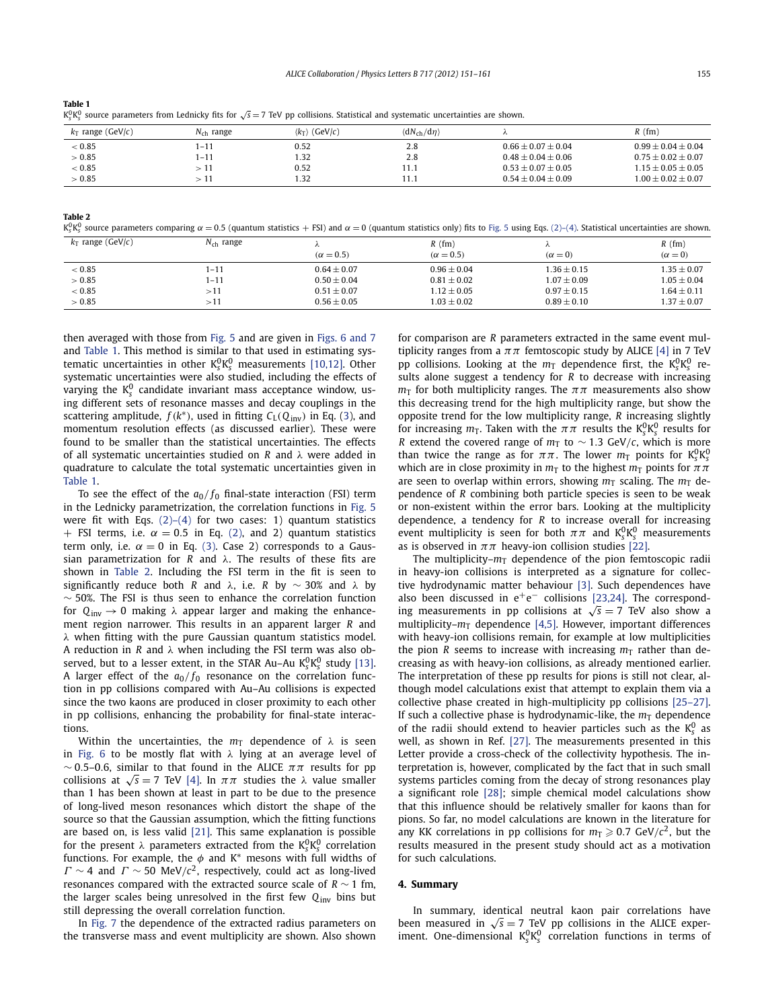<span id="page-4-0"></span>

| <b>Table 1</b>                                                                                                                               |  |
|----------------------------------------------------------------------------------------------------------------------------------------------|--|
| $K_S^0 K_S^0$ source parameters from Lednicky fits for $\sqrt{s} = 7$ TeV pp collisions. Statistical and systematic uncertainties are shown. |  |

| $k_T$ range (GeV/c) | $\mathcal{N}_{\text{ch}}$ range | $\langle k_T \rangle$ (GeV/c) | $\langle dN_{ch}/d\eta \rangle$ |                      | $R$ (fm)             |
|---------------------|---------------------------------|-------------------------------|---------------------------------|----------------------|----------------------|
| < 0.85              | 1-11                            | 0.52                          | 2.8                             | $0.66 + 0.07 + 0.04$ | $0.99 + 0.04 + 0.04$ |
| > 0.85              | $1 - 11$                        | l.32                          | 2.8                             | $0.48 + 0.04 + 0.06$ | $0.75 + 0.02 + 0.07$ |
| < 0.85              | - 11                            | 0.52                          | 11.1                            | $0.53 + 0.07 + 0.05$ | $1.15 + 0.05 + 0.05$ |
| > 0.85              | - 11                            | 1.32                          | 11.1                            | $0.54 + 0.04 + 0.09$ | $1.00 + 0.02 + 0.07$ |

**Table 2**

 $K^0_s K^0_s$  source parameters comparing  $\alpha = 0.5$  (quantum statistics + FSI) and  $\alpha = 0$  (quantum statistics only) fits to [Fig. 5](#page-3-0) using Eqs. [\(2\)–\(4\).](#page-2-0) Statistical uncertainties are shown.

| $k_T$ range (GeV/c) | $N_{ch}$ range |                  | $R$ (fm)         | $\sim$          | $R$ (fm)        |
|---------------------|----------------|------------------|------------------|-----------------|-----------------|
|                     |                | $(\alpha = 0.5)$ | $(\alpha = 0.5)$ | $(\alpha = 0)$  | $(\alpha = 0)$  |
| < 0.85              | 1-11           | $0.64 + 0.07$    | $0.96 \pm 0.04$  | $1.36 \pm 0.15$ | $1.35 \pm 0.07$ |
| > 0.85              | 1-11           | $0.50 \pm 0.04$  | $0.81 \pm 0.02$  | $1.07 \pm 0.09$ | $1.05 \pm 0.04$ |
| < 0.85              | >11            | $0.51 \pm 0.07$  | $1.12 \pm 0.05$  | $0.97 \pm 0.15$ | $1.64\pm0.11$   |
| > 0.85              | >11            | $0.56 + 0.05$    | $1.03 + 0.02$    | $0.89 + 0.10$   | $1.37 \pm 0.07$ |

then averaged with those from [Fig. 5](#page-3-0) and are given in [Figs. 6 and 7](#page-3-0) and Table 1. This method is similar to that used in estimating systematic uncertainties in other  $K_s^0 K_s^0$  measurements [\[10,12\].](#page-5-0) Other systematic uncertainties were also studied, including the effects of varying the K<sub>S</sub> candidate invariant mass acceptance window, using different sets of resonance masses and decay couplings in the scattering amplitude,  $f(k^*)$ , used in fitting  $C_L(Q_{\text{inv}})$  in Eq. [\(3\)](#page-2-0), and momentum resolution effects (as discussed earlier). These were found to be smaller than the statistical uncertainties. The effects of all systematic uncertainties studied on *R* and *λ* were added in quadrature to calculate the total systematic uncertainties given in Table 1.

To see the effect of the  $a_0/f_0$  final-state interaction (FSI) term in the Lednicky parametrization, the correlation functions in [Fig. 5](#page-3-0) were fit with Eqs.  $(2)$ – $(4)$  for two cases: 1) quantum statistics + FSI terms, i.e.  $\alpha = 0.5$  in Eq. [\(2\),](#page-2-0) and 2) quantum statistics term only, i.e.  $\alpha = 0$  in Eq. [\(3\).](#page-2-0) Case 2) corresponds to a Gaussian parametrization for *R* and *λ*. The results of these fits are shown in Table 2. Including the FSI term in the fit is seen to significantly reduce both *R* and *λ*, i.e. *R* by ∼ 30% and *λ* by  $~\sim$  50%. The FSI is thus seen to enhance the correlation function for *Q*inv → 0 making *λ* appear larger and making the enhancement region narrower. This results in an apparent larger *R* and *λ* when fitting with the pure Gaussian quantum statistics model. A reduction in *R* and *λ* when including the FSI term was also observed, but to a lesser extent, in the STAR Au–Au K $^{0}_{\rm s}$ K $^{0}_{\rm s}$  study [\[13\].](#page-5-0) A larger effect of the  $a_0/f_0$  resonance on the correlation function in pp collisions compared with Au–Au collisions is expected since the two kaons are produced in closer proximity to each other in pp collisions, enhancing the probability for final-state interactions.

Within the uncertainties, the  $m<sub>T</sub>$  dependence of  $\lambda$  is seen in [Fig. 6](#page-3-0) to be mostly flat with *λ* lying at an average level of ∼ <sup>0</sup>*.*5–0*.*6, similar to that found in the ALICE *ππ* results for pp collisions at  $\sqrt{s} = 7$  TeV [\[4\].](#page-5-0) In  $\pi \pi$  studies the  $\lambda$  value smaller than 1 has been shown at least in part to be due to the presence of long-lived meson resonances which distort the shape of the source so that the Gaussian assumption, which the fitting functions are based on, is less valid [\[21\].](#page-5-0) This same explanation is possible for the present  $\lambda$  parameters extracted from the  $K_s^0K_s^0$  correlation functions. For example, the  $\phi$  and K<sup>\*</sup> mesons with full widths of  $\Gamma \sim 4$  and  $\Gamma \sim 50$  MeV/ $c^2$ , respectively, could act as long-lived resonances compared with the extracted source scale of *R* ∼ 1 fm, the larger scales being unresolved in the first few *Q*inv bins but still depressing the overall correlation function.

In [Fig. 7](#page-3-0) the dependence of the extracted radius parameters on the transverse mass and event multiplicity are shown. Also shown for comparison are *R* parameters extracted in the same event multiplicity ranges from a  $\pi\pi$  femtoscopic study by ALICE [\[4\]](#page-5-0) in 7 TeV pp collisions. Looking at the  $m<sub>T</sub>$  dependence first, the  $K_s^0 K_s^0$  results alone suggest a tendency for *R* to decrease with increasing  $m<sub>T</sub>$  for both multiplicity ranges. The  $\pi\pi$  measurements also show this decreasing trend for the high multiplicity range, but show the opposite trend for the low multiplicity range, *R* increasing slightly for increasing  $m_T$ . Taken with the  $\pi\pi$  results the  $K_s^0K_s^0$  results for *R* extend the covered range of  $m<sub>T</sub>$  to ~ 1.3 GeV/*c*, which is more than twice the range as for  $\pi\pi$ . The lower  $m<sub>T</sub>$  points for  $K_s^0 K_s^0$ which are in close proximity in  $m<sub>T</sub>$  to the highest  $m<sub>T</sub>$  points for  $\pi \pi$ are seen to overlap within errors, showing  $m<sub>T</sub>$  scaling. The  $m<sub>T</sub>$  dependence of *R* combining both particle species is seen to be weak or non-existent within the error bars. Looking at the multiplicity dependence, a tendency for *R* to increase overall for increasing event multiplicity is seen for both  $\pi\pi$  and  $K_s^0K_s^0$  measurements as is observed in  $\pi\pi$  heavy-ion collision studies [\[22\].](#page-5-0)

The multiplicity– $m<sub>T</sub>$  dependence of the pion femtoscopic radii in heavy-ion collisions is interpreted as a signature for collective hydrodynamic matter behaviour [\[3\].](#page-5-0) Such dependences have also been discussed in  $e^+e^-$  collisions [\[23,24\].](#page-5-0) The corresponding measurements in pp collisions at  $\sqrt{s} = 7$  TeV also show a multiplicity– $m<sub>T</sub>$  dependence [\[4,5\].](#page-5-0) However, important differences with heavy-ion collisions remain, for example at low multiplicities the pion *R* seems to increase with increasing  $m<sub>T</sub>$  rather than decreasing as with heavy-ion collisions, as already mentioned earlier. The interpretation of these pp results for pions is still not clear, although model calculations exist that attempt to explain them via a collective phase created in high-multiplicity pp collisions [\[25–27\].](#page-5-0) If such a collective phase is hydrodynamic-like, the  $m<sub>T</sub>$  dependence of the radii should extend to heavier particles such as the  $K_s^0$  as well, as shown in Ref. [\[27\].](#page-5-0) The measurements presented in this Letter provide a cross-check of the collectivity hypothesis. The interpretation is, however, complicated by the fact that in such small systems particles coming from the decay of strong resonances play a significant role [\[28\];](#page-5-0) simple chemical model calculations show that this influence should be relatively smaller for kaons than for pions. So far, no model calculations are known in the literature for any KK correlations in pp collisions for  $m<sub>T</sub> \ge 0.7$  GeV/ $c<sup>2</sup>$ , but the results measured in the present study should act as a motivation for such calculations.

### **4. Summary**

In summary, identical neutral kaon pair correlations have been measured in  $\sqrt{s} = 7$  TeV pp collisions in the ALICE experiment. One-dimensional  $K_S^0 K_S^0$  correlation functions in terms of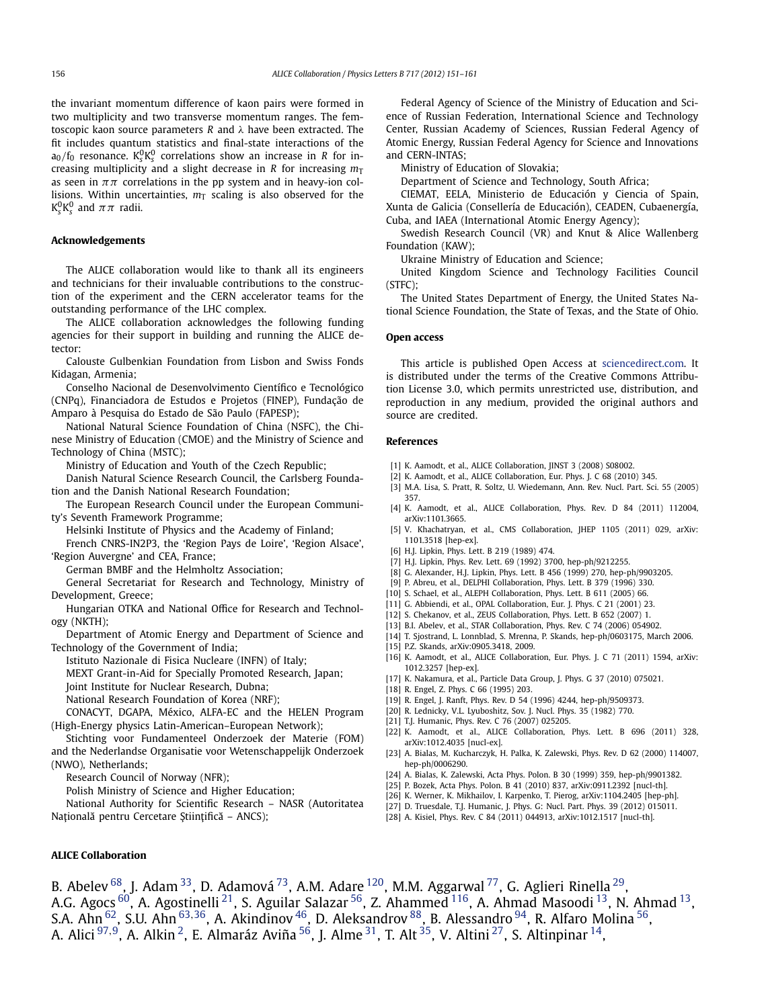<span id="page-5-0"></span>the invariant momentum difference of kaon pairs were formed in two multiplicity and two transverse momentum ranges. The femtoscopic kaon source parameters *R* and *λ* have been extracted. The fit includes quantum statistics and final-state interactions of the a<sub>0</sub>/f<sub>0</sub> resonance. K<sub>s</sub><sup>0</sup>K<sub>s</sub><sup>0</sup> correlations show an increase in *R* for increasing multiplicity and a slight decrease in *R* for increasing  $m<sub>T</sub>$ as seen in  $\pi\pi$  correlations in the pp system and in heavy-ion collisions. Within uncertainties,  $m<sub>T</sub>$  scaling is also observed for the  $\rm{K^{0}_{\scriptscriptstyle S}K^{0}_{\scriptscriptstyle S}}$  and  $\pi\pi$  radii.

# **Acknowledgements**

The ALICE collaboration would like to thank all its engineers and technicians for their invaluable contributions to the construction of the experiment and the CERN accelerator teams for the outstanding performance of the LHC complex.

The ALICE collaboration acknowledges the following funding agencies for their support in building and running the ALICE detector:

Calouste Gulbenkian Foundation from Lisbon and Swiss Fonds Kidagan, Armenia;

Conselho Nacional de Desenvolvimento Científico e Tecnológico (CNPq), Financiadora de Estudos e Projetos (FINEP), Fundação de Amparo à Pesquisa do Estado de São Paulo (FAPESP);

National Natural Science Foundation of China (NSFC), the Chinese Ministry of Education (CMOE) and the Ministry of Science and Technology of China (MSTC);

Ministry of Education and Youth of the Czech Republic;

Danish Natural Science Research Council, the Carlsberg Foundation and the Danish National Research Foundation;

The European Research Council under the European Community's Seventh Framework Programme;

Helsinki Institute of Physics and the Academy of Finland;

French CNRS-IN2P3, the 'Region Pays de Loire', 'Region Alsace', 'Region Auvergne' and CEA, France;

German BMBF and the Helmholtz Association;

General Secretariat for Research and Technology, Ministry of Development, Greece;

Hungarian OTKA and National Office for Research and Technology (NKTH);

Department of Atomic Energy and Department of Science and Technology of the Government of India;

Istituto Nazionale di Fisica Nucleare (INFN) of Italy;

MEXT Grant-in-Aid for Specially Promoted Research, Japan;

Joint Institute for Nuclear Research, Dubna;

National Research Foundation of Korea (NRF);

CONACYT, DGAPA, México, ALFA-EC and the HELEN Program (High-Energy physics Latin-American–European Network);

Stichting voor Fundamenteel Onderzoek der Materie (FOM) and the Nederlandse Organisatie voor Wetenschappelijk Onderzoek (NWO), Netherlands;

Research Council of Norway (NFR);

Polish Ministry of Science and Higher Education;

National Authority for Scientific Research – NASR (Autoritatea

Națională pentru Cercetare Științifică – ANCS);

Federal Agency of Science of the Ministry of Education and Science of Russian Federation, International Science and Technology Center, Russian Academy of Sciences, Russian Federal Agency of Atomic Energy, Russian Federal Agency for Science and Innovations and CERN-INTAS;

Ministry of Education of Slovakia;

Department of Science and Technology, South Africa;

CIEMAT, EELA, Ministerio de Educación y Ciencia of Spain, Xunta de Galicia (Consellería de Educación), CEADEN, Cubaenergía, Cuba, and IAEA (International Atomic Energy Agency);

Swedish Research Council (VR) and Knut & Alice Wallenberg Foundation (KAW);

Ukraine Ministry of Education and Science;

United Kingdom Science and Technology Facilities Council (STFC);

The United States Department of Energy, the United States National Science Foundation, the State of Texas, and the State of Ohio.

### **Open access**

This article is published Open Access at [sciencedirect.com](http://www.sciencedirect.com). It is distributed under the terms of the Creative Commons Attribution License 3.0, which permits unrestricted use, distribution, and reproduction in any medium, provided the original authors and source are credited.

### **References**

- [1] K. Aamodt, et al., ALICE Collaboration, JINST 3 (2008) S08002.
- [2] K. Aamodt, et al., ALICE Collaboration, Eur. Phys. J. C 68 (2010) 345.
- [3] M.A. Lisa, S. Pratt, R. Soltz, U. Wiedemann, Ann. Rev. Nucl. Part. Sci. 55 (2005) 357.
- [4] K. Aamodt, et al., ALICE Collaboration, Phys. Rev. D 84 (2011) 112004, arXiv:1101.3665.
- [5] V. Khachatryan, et al., CMS Collaboration, JHEP 1105 (2011) 029, arXiv: 1101.3518 [hep-ex].
- [6] H.J. Lipkin, Phys. Lett. B 219 (1989) 474.
- [7] H.J. Lipkin, Phys. Rev. Lett. 69 (1992) 3700, hep-ph/9212255.
- [8] G. Alexander, H.J. Lipkin, Phys. Lett. B 456 (1999) 270, hep-ph/9903205.
- [9] P. Abreu, et al., DELPHI Collaboration, Phys. Lett. B 379 (1996) 330.
- [10] S. Schael, et al., ALEPH Collaboration, Phys. Lett. B 611 (2005) 66.
- [11] G. Abbiendi, et al., OPAL Collaboration, Eur. J. Phys. C 21 (2001) 23.
- [12] S. Chekanov, et al., ZEUS Collaboration, Phys. Lett. B 652 (2007) 1.
- [13] B.I. Abelev, et al., STAR Collaboration, Phys. Rev. C 74 (2006) 054902.
- [14] T. Sjostrand, L. Lonnblad, S. Mrenna, P. Skands, hep-ph/0603175, March 2006.
- [15] P.Z. Skands, arXiv:0905.3418, 2009.
- [16] K. Aamodt, et al., ALICE Collaboration, Eur. Phys. J. C 71 (2011) 1594, arXiv: 1012.3257 [hep-ex].
- [17] K. Nakamura, et al., Particle Data Group, J. Phys. G 37 (2010) 075021.
- [18] R. Engel, Z. Phys. C 66 (1995) 203.
- [19] R. Engel, J. Ranft, Phys. Rev. D 54 (1996) 4244, hep-ph/9509373.
- [20] R. Lednicky, V.L. Lyuboshitz, Sov. J. Nucl. Phys. 35 (1982) 770.
- [21] T.J. Humanic, Phys. Rev. C 76 (2007) 025205.
- [22] K. Aamodt, et al., ALICE Collaboration, Phys. Lett. B 696 (2011) 328, arXiv:1012.4035 [nucl-ex].
- [23] A. Bialas, M. Kucharczyk, H. Palka, K. Zalewski, Phys. Rev. D 62 (2000) 114007, hep-ph/0006290.
- [24] A. Bialas, K. Zalewski, Acta Phys. Polon. B 30 (1999) 359, hep-ph/9901382.
- [25] P. Bozek, Acta Phys. Polon. B 41 (2010) 837, arXiv:0911.2392 [nucl-th].
- [26] K. Werner, K. Mikhailov, I. Karpenko, T. Pierog, arXiv:1104.2405 [hep-ph].
- [27] D. Truesdale, T.J. Humanic, J. Phys. G: Nucl. Part. Phys. 39 (2012) 015011.
- [28] A. Kisiel, Phys. Rev. C 84 (2011) 044913, arXiv:1012.1517 [nucl-th].

**ALICE Collaboration**

B. Abelev <sup>68</sup>, J. Adam <sup>33</sup>, D. Adamová <sup>73</sup>, A.M. Adare <sup>120</sup>, M.M. Aggarwal <sup>77</sup>, G. Aglieri Rinella <sup>29</sup>, A.G. Agocs  $^{60}$ , A. Agostinelli  $^{21}$ , S. Aguilar Salazar  $^{56}$ , Z. Ahammed  $^{116}$ , A. Ahmad Masoodi  $^{13}$ , N. Ahmad  $^{13}$ , S.A. Ahn [62,](#page-9-0) S.U. Ahn [63](#page-9-0)*,*[36,](#page-9-0) A. Akindinov [46,](#page-9-0) D. Aleksandrov [88,](#page-9-0) B. Alessandro [94,](#page-10-0) R. Alfaro Molina [56](#page-9-0), A. Alici [97](#page-10-0)*,*[9](#page-8-0), A. Alkin [2,](#page-8-0) E. Almaráz Aviña [56,](#page-9-0) J. Alme [31,](#page-9-0) T. Alt [35,](#page-9-0) V. Altini [27,](#page-9-0) S. Altinpinar [14,](#page-9-0)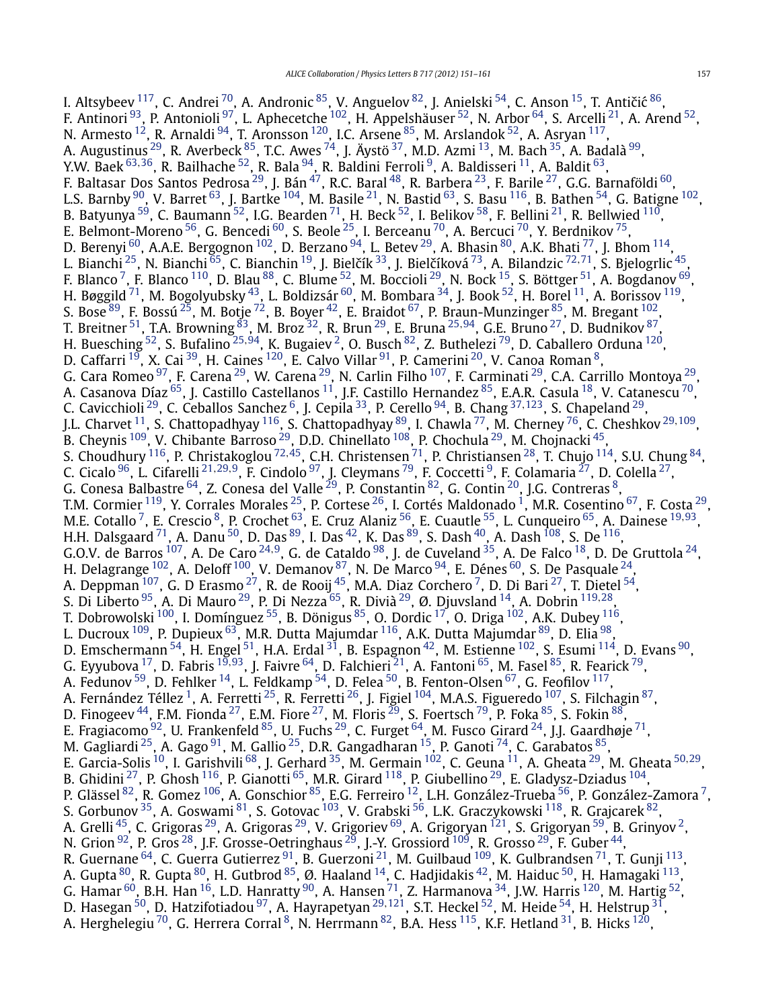I. Altsybeev  $^{117}$  $^{117}$  $^{117}$ , C. Andrei  $^{70}$ , A. Andronic  $^{85}$ , V. Anguelov  $^{82}$ , J. Anielski  $^{54}$  $^{54}$  $^{54}$ , C. Anson  $^{15}$ , T. Antičić  $^{86},$ F. Antinori <sup>93</sup>, P. Antonioli <sup>[97](#page-10-0)</sup>, L. Aphecetche <sup>102</sup>, H. Appelshäuser <sup>[52](#page-9-0)</sup>, N. Arbor <sup>64</sup>, S. Arcelli <sup>21</sup>, A. Arend <sup>52</sup>, N. Armesto  $^{12}$ , R. Arnaldi  $^{94}$ , T. Aronsson  $^{120}$ , I.C. Arsene  $^{85}$ , M. Arslandok  $^{52}$ , A. Asryan  $^{117}$ , A. Augustinus <sup>29</sup>, R. Averbeck <sup>85</sup>, T.C. Awes <sup>74</sup>, J. Äystö <sup>[37](#page-9-0)</sup>, M.D. Azmi <sup>13</sup>, M. Bach <sup>[35](#page-9-0)</sup>, A. Badalà <sup>99</sup>, Y.W. Baek [63](#page-9-0)*,*[36,](#page-9-0) R. Bailhache [52,](#page-9-0) R. Bala [94,](#page-10-0) R. Baldini Ferroli [9,](#page-8-0) A. Baldisseri [11,](#page-8-0) A. Baldit [63,](#page-9-0) F. Baltasar Dos Santos Pedrosa $^{29}$  $^{29}$  $^{29}$ , J. Bán $^{47}$  $^{47}$  $^{47}$ , R.C. Baral $^{48}$ , R. Barbera $^{23}$ , F. Barile $^{27}$  $^{27}$  $^{27}$ , G.G. Barnaföldi  $^{60}$ , L.S. Barnby  $^{90}$ , V. Barret  $^{63}$ , J. Bartke  $^{104}$ , M. Basile  $^{21}$ , N. Bastid  $^{63}$ , S. Basu  $^{116}$ , B. Bathen  $^{54}$ , G. Batigne  $^{102}$ , B. Batyunya  $^{59}$ , C. Baumann  $^{52}$ , I.G. Bearden  $^{71}$ , H. Beck  $^{52}$ , I. Belikov  $^{58}$ , F. Bellini  $^{21}$ , R. Bellwied  $^{110}$ , E. Belmont-Moreno  $^{56}$  $^{56}$  $^{56}$ , G. Bencedi  $^{60}$ , S. Beole  $^{25}$ , I. Berceanu  $^{70}$ , A. Bercuci  $^{70}$ , Y. Berdnikov  $^{75}$ , D. Berenyi  $^{60}$ , A.A.E. Bergognon  $^{102}$ , D. Berzano  $^{94}$ , L. Betev  $^{29}$ , A. Bhasin  $^{80}$ , A.K. Bhati  $^{77}$ , J. Bhom  $^{114}$ , L. Bianchi <sup>25</sup>, N. Bianchi <sup>65</sup>, C. Bianchin <sup>19</sup>, J. Bielčík <sup>33</sup>, J. Bielčíková <sup>73</sup>, A. Bilandzic <sup>[72](#page-9-0),[71](#page-9-0)</sup>, S. Bjelogrlic <sup>45</sup>, F. Blanco <sup>7</sup>, F. Blanco  $^{110}$ , D. Blau  $^{88}$ , C. Blume  $^{52}$ , M. Boccioli  $^{29}$ , N. Bock  $^{15}$ , S. Böttger  $^{51}$ , A. Bogdanov  $^{69}$ , H. Bøggild  $^{71}$ , M. Bogolyubsky  $^{43}$ , L. Boldizsár  $^{60}$ , M. Bombara  $^{34}$ , J. Book  $^{52}$ , H. Borel  $^{11}$ , A. Borissov  $^{119}$ , S. Bose  $^{89}$ , F. Bossú  $^{25}$ , M. Botje  $^{72}$ , B. Boyer  $^{42}$ , E. Braidot  $^{67}$ , P. Braun-Munzinger  $^{85}$ , M. Bregant  $^{102}$ , T. Breitner [51,](#page-9-0) T.A. Browning [83,](#page-9-0) M. Broz [32,](#page-9-0) R. Brun [29,](#page-9-0) E. Bruna [25](#page-9-0)*,*[94,](#page-10-0) G.E. Bruno [27,](#page-9-0) D. Budnikov [87,](#page-9-0) H. Buesching [52,](#page-9-0) S. Bufalino [25](#page-9-0)*,*[94,](#page-10-0) K. Bugaiev [2,](#page-8-0) O. Busch [82,](#page-9-0) Z. Buthelezi [79,](#page-9-0) D. Caballero Orduna [120,](#page-10-0) D. Caffarri  $^{19}$ , X. Cai  $^{39}$ , H. Caines  $^{120}$ , E. Calvo Villar  $^{91}$ , P. Camerini  $^{20}$ , V. Canoa Roman  $^8$  $^8$ , G. Cara Romeo <sup>97</sup>, F. Carena <sup>29</sup>, W. Carena <sup>29</sup>, N. Carlin Filho <sup>[107](#page-10-0)</sup>, F. Carminati <sup>29</sup>, C.A. Carrillo Montoya <sup>29</sup>, A. Casanova Díaz <sup>65</sup>, J. Castillo Castellanos <sup>11</sup>, J.F. Castillo Hernandez <sup>[85](#page-9-0)</sup>, E.A.R. Casula <sup>18</sup>, V. Catanescu <sup>70</sup>, C. Cavicchioli [29,](#page-9-0) C. Ceballos Sanchez [6,](#page-8-0) J. Cepila [33](#page-9-0), P. Cerello [94,](#page-10-0) B. Chang [37](#page-9-0)*,*[123,](#page-10-0) S. Chapeland [29,](#page-9-0) J.L. Charvet [11,](#page-8-0) S. Chattopadhyay [116,](#page-10-0) S. Chattopadhyay [89](#page-9-0), I. Chawla [77,](#page-9-0) M. Cherney [76,](#page-9-0) C. Cheshkov [29](#page-9-0)*,*[109](#page-10-0), B. Cheynis  $^{109}$ , V. Chibante Barroso  $^{29}$ , D.D. Chinellato  $^{108}$ , P. Chochula  $^{29}$ , M. Chojnacki  $^{45}$  $^{45}$  $^{45}$ , S. Choudhury [116,](#page-10-0) P. Christakoglou [72](#page-9-0)*,*[45,](#page-9-0) C.H. Christensen [71,](#page-9-0) P. Christiansen [28,](#page-9-0) T. Chujo [114,](#page-10-0) S.U. Chung [84,](#page-9-0) C. Cicalo [96,](#page-10-0) L. Cifarelli [21](#page-9-0)*,*[29](#page-9-0)*,*[9,](#page-8-0) F. Cindolo [97,](#page-10-0) J. Cleymans [79,](#page-9-0) F. Coccetti [9,](#page-8-0) F. Colamaria [27,](#page-9-0) D. Colella [27](#page-9-0), G. Conesa Balbastre $^{64}$ , Z. Conesa del Valle $^{29}$  $^{29}$  $^{29}$ , P. Constantin $^{82}$  $^{82}$  $^{82}$ , G. Contin $^{20}$ , J.G. Contreras $^8$ , T.M. Cormier <sup>[1](#page-8-0)19</sup>, Y. Corrales Morales <sup>25</sup>, P. Cortese <sup>26</sup>, I. Cortés Maldonado <sup>1</sup>, M.R. Cosentino <sup>67</sup>, F. Costa <sup>29</sup>, M.E. Cotallo [7,](#page-8-0) E. Crescio [8,](#page-8-0) P. Crochet [63,](#page-9-0) E. Cruz Alaniz [56,](#page-9-0) E. Cuautle [55,](#page-9-0) L. Cunqueiro [65,](#page-9-0) A. Dainese [19](#page-9-0)*,*[93,](#page-10-0) H.H. Dalsgaard  $^{71}$ , A. Danu  $^{50}$ , D. Das  $^{89}$ , I. Das  $^{42}$ , K. Das  $^{89}$ , S. Dash  $^{40}$ , A. Dash  $^{108}$ , S. De  $^{116}$ , G.O.V. de Barros [107,](#page-10-0) A. De Caro [24](#page-9-0)*,*[9,](#page-8-0) G. de Cataldo [98,](#page-10-0) J. de Cuveland [35,](#page-9-0) A. De Falco [18,](#page-9-0) D. De Gruttola [24,](#page-9-0) H. Delagrange  $^{102}$ , A. Deloff  $^{100}$ , V. Demanov  $^{87}$  $^{87}$  $^{87}$ , N. De Marco  $^{94}$ , E. Dénes  $^{60}$ , S. De Pasquale  $^{24},$ A. Deppman  $^{107}$ , G. D Erasmo  $^{27}$  $^{27}$  $^{27}$ , R. de Rooij  $^{45}$  $^{45}$  $^{45}$ , M.A. Diaz Corchero  $^7$ , D. Di Bari  $^{27}$ , T. Dietel  $^{54}$ , S. Di Liberto [95,](#page-10-0) A. Di Mauro [29,](#page-9-0) P. Di Nezza [65,](#page-9-0) R. Divià [29,](#page-9-0) Ø. Djuvsland [14,](#page-9-0) A. Dobrin [119](#page-10-0)*,*[28,](#page-9-0) T. Dobrowolski  $^{100}$ , I. Domínguez  $^{55}$ , B. Dönigus  $^{85}$  $^{85}$  $^{85}$ , O. Dordic  $^{17}$ , O. Driga  $^{102}$ , A.K. Dubey  $^{116}$ , L. Ducroux <sup>109</sup>, P. Dupieux <sup>63</sup>, M.R. Dutta Majumdar <sup>116</sup>, A.K. Dutta Majumdar <sup>[89](#page-9-0)</sup>, D. Elia <sup>98</sup>, D. Emschermann  $^{54}$ , H. Engel  $^{51}$ , H.A. Erdal  $^{31}$ , B. Espagnon  $^{42}$ , M. Estienne  $^{102}$  $^{102}$  $^{102}$ , S. Esumi  $^{114}$ , D. Evans  $^{90}$ , G. Eyyubova [17,](#page-9-0) D. Fabris [19](#page-9-0)*,*[93,](#page-10-0) J. Faivre [64,](#page-9-0) D. Falchieri [21,](#page-9-0) A. Fantoni [65,](#page-9-0) M. Fasel [85,](#page-9-0) R. Fearick [79,](#page-9-0) A. Fedunov  $^{59}$ , D. Fehlker  $^{14}$ , L. Feldkamp  $^{54}$ , D. Felea  $^{50}$ , B. Fenton-Olsen  $^{67}$ , G. Feofilov  $^{117}$ , A. Fernández Téllez<sup>1</sup>, A. Ferretti<sup>25</sup>, R. Ferretti<sup>26</sup>, J. Figiel<sup>104</sup>, M.A.S. Figueredo <sup>107</sup>, S. Filchagin <sup>87</sup>, D. Finogeev <sup>44</sup>, F.M. Fionda <sup>27</sup>, E.M. Fiore <sup>27</sup>, M. Floris <sup>29</sup>, S. Foertsch <sup>79</sup>, P. Foka <sup>85</sup>, S. Fokin <sup>88</sup>, E. Fragiacomo  $^{92}$ , U. Frankenfeld  $^{85}$ , U. Fuchs  $^{29}$ , C. Furget  $^{64}$  $^{64}$  $^{64}$ , M. Fusco Girard  $^{24}$ , J.J. Gaardhøje  $^{71}$ , M. Gagliardi  $^{25}$ , A. Gago  $^{91}$ , M. Gallio  $^{25}$ , D.R. Gangadharan  $^{15}$ , P. Ganoti  $^{74}$ , C. Garabatos  $^{85}$ , E. Garcia-Solis [10,](#page-8-0) I. Garishvili [68,](#page-9-0) J. Gerhard [35,](#page-9-0) M. Germain [102,](#page-10-0) C. Geuna [11,](#page-8-0) A. Gheata [29,](#page-9-0) M. Gheata [50](#page-9-0)*,*[29,](#page-9-0) B. Ghidini  $^{27}$  $^{27}$  $^{27}$ , P. Ghosh  $^{116}$ , P. Gianotti  $^{65}$ , M.R. Girard  $^{118}$ , P. Giubellino  $^{29}$ , E. Gladysz-Dziadus  $^{104}$ , P. Glässel  $^{82}$ , R. Gomez  $^{106}$ , A. Gonschior  $^{85}$ , E.G. Ferreiro  $^{12}$ , L.H. González-Trueba  $^{56}$ , P. González-Zamora  $^7$ , S. Gorbunov <sup>35</sup>, A. Goswami <sup>81</sup>, S. Gotovac <sup>103</sup>, V. Grabski <sup>[56](#page-9-0)</sup>, L.K. Graczykowski <sup>[118](#page-10-0)</sup>, R. Grajcarek <sup>[82](#page-9-0)</sup>, A. Grelli <sup>45</sup>, C. Grigoras <sup>[29](#page-9-0)</sup>, A. Grigoras <sup>29</sup>, V. Grigoriev <sup>[69](#page-9-0)</sup>, A. Grigoryan <sup>121</sup>, S. Grigoryan <sup>59</sup>, B. Grinyov <sup>2</sup>, N. Grion <sup>92</sup>, P. Gros <sup>28</sup>, J.F. Grosse-Oetringhaus <sup>29</sup>, J.-Y. Grossiord <sup>109</sup>, R. Grosso <sup>29</sup>, F. Guber <sup>44</sup>, R. Guernane  $^{64}$ , C. Guerra Gutierrez  $^{91}$ , B. Guerzoni  $^{21}$ , M. Guilbaud  $^{109}$ , K. Gulbrandsen  $^{71}$  $^{71}$  $^{71}$ , T. Gunji  $^{113}$ , A. Gupta  $^{80}$  $^{80}$  $^{80}$ , R. Gupta  $^{80}$ , H. Gutbrod  $^{85}$ , Ø. Haaland  $^{14}$ , C. Hadjidakis  $^{42}$ , M. Haiduc  $^{50}$ , H. Hamagaki  $^{113}$ , G. Hamar  $^{60}$ , B.H. Han  $^{16}$ , L.D. Hanratty  $^{90}$ , A. Hansen  $^{71}$ , Z. Harmanova  $^{34}$ , J.W. Harris  $^{120}$  $^{120}$  $^{120}$ , M. Hartig  $^{52}$ , D. Hasegan [50,](#page-9-0) D. Hatzifotiadou [97,](#page-10-0) A. Hayrapetyan [29](#page-9-0)*,*[121,](#page-10-0) S.T. Heckel [52](#page-9-0), M. Heide [54,](#page-9-0) H. Helstrup [31,](#page-9-0) A. Herghelegiu<sup>70</sup>, G. Herrera Corral<sup>8</sup>, N. Herrmann<sup>82</sup>, B.A. Hess<sup>[115](#page-10-0)</sup>, K.F. Hetland<sup>[31](#page-9-0)</sup>, B. Hicks<sup>120</sup>,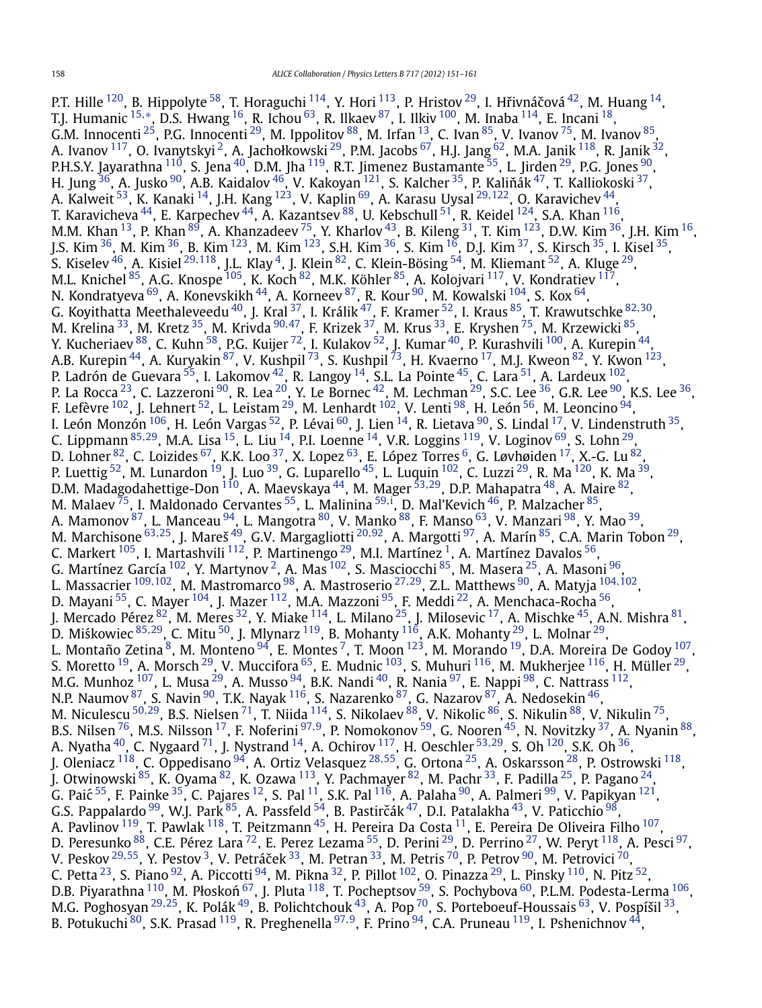P.T. Hille <sup>[120](#page-10-0)</sup>, B. Hippolyte <sup>58</sup>, T. Horaguchi <sup>[114](#page-10-0)</sup>, Y. Hori <sup>113</sup>, P. Hristov <sup>29</sup>, I. Hřivnáčová <sup>42</sup>, M. Huang <sup>14</sup>, T.J. Humanic [15](#page-9-0)*,*[∗](#page-10-0), D.S. Hwang [16,](#page-9-0) R. Ichou [63,](#page-9-0) R. Ilkaev [87,](#page-9-0) I. Ilkiv [100,](#page-10-0) M. Inaba [114,](#page-10-0) E. Incani [18,](#page-9-0) G.M. Innocenti  $^{25}$ , P.G. Innocenti  $^{29}$ , M. Ippolitov  $^{88}$ , M. Irfan  $^{13}$ , C. Ivan  $^{85}$ , V. Ivanov  $^{75}$  $^{75}$  $^{75}$ , M. Ivanov  $^{85}$ , A. Ivanov <sup>117</sup>, O. Ivanytskyi <sup>2</sup>, A. Jachołkowski <sup>29</sup>, P.M. Jacobs <sup>67</sup>, H.J. Jang <sup>62</sup>, M.A. Janik <sup>118</sup>, R. Janik <sup>32</sup>, P.H.S.Y. Jayarathna <sup>110</sup>, S. Jena <sup>40</sup>, D.M. Jha <sup>119</sup>, R.T. Jimenez Bustamante <sup>55</sup>, L. Jirden <sup>[29](#page-9-0)</sup>, P.G. Jones <sup>90</sup>, H. Jung $^{36}$ , A. Jusko $^{90}$  $^{90}$  $^{90}$ , A.B. Kaidalov $^{46}$ , V. Kakoyan  $^{121}$ , S. Kalcher $^{35}$ , P. Kaliňák $^{47}$ , T. Kalliokoski $^{37},$ A. Kalweit [53](#page-9-0), K. Kanaki [14,](#page-9-0) J.H. Kang [123,](#page-10-0) V. Kaplin [69,](#page-9-0) A. Karasu Uysal [29](#page-9-0)*,*[122,](#page-10-0) O. Karavichev [44,](#page-9-0) T. Karavicheva  $^{44}$ , E. Karpechev  $^{44}$ , A. Kazantsev  $^{88}$ , U. Kebschull  $^{51}$  $^{51}$  $^{51}$ , R. Keidel  $^{124}$ , S.A. Khan  $^{116}$ , M.M. Khan  $^{13}$ , P. Khan  $^{89}$ , A. Khanzadeev  $^{75}$  $^{75}$  $^{75}$ , Y. Kharlov  $^{43}$ , B. Kileng  $^{31}$ , T. Kim  $^{123}$ , D.W. Kim  $^{36}$  $^{36}$  $^{36}$ , J.H. Kim  $^{16}$ , J.S. Kim <sup>36</sup>, M. Kim <sup>36</sup>, B. Kim <sup>123</sup>, M. Kim <sup>123</sup>, S.H. Kim <sup>36</sup>, S. Kim <sup>16</sup>, D.J. Kim <sup>37</sup>, S. Kirsch <sup>35</sup>, I. Kisel <sup>35</sup>, S. Kiselev [46,](#page-9-0) A. Kisiel [29](#page-9-0)*,*[118](#page-10-0), J.L. Klay [4,](#page-8-0) J. Klein [82,](#page-9-0) C. Klein-Bösing [54,](#page-9-0) M. Kliemant [52,](#page-9-0) A. Kluge [29,](#page-9-0) M.L. Knichel  $^{85}$ , A.G. Knospe  $^{105}$ , K. Koch  $^{82}$ , M.K. Köhler  $^{85}$ , A. Kolojvari  $^{117}$ , V. Kondratiev  $^{117}$ , N. Kondratyeva  $^{69}$ , A. Konevskikh  $^{44}$ , A. Korneev  $^{87}$ , R. Kour  $^{90}$ , M. Kowalski  $^{104}$ , S. Kox  $^{64}$ , G. Koyithatta Meethaleveedu [40,](#page-9-0) J. Kral [37,](#page-9-0) I. Králik [47](#page-9-0), F. Kramer [52,](#page-9-0) I. Kraus [85,](#page-9-0) T. Krawutschke [82](#page-9-0)*,*[30,](#page-9-0) M. Krelina [33,](#page-9-0) M. Kretz [35,](#page-9-0) M. Krivda [90](#page-9-0)*,*[47,](#page-9-0) F. Krizek [37,](#page-9-0) M. Krus [33](#page-9-0), E. Kryshen [75,](#page-9-0) M. Krzewicki [85,](#page-9-0) Y. Kucheriaev  $^{88}$ , C. Kuhn  $^{58}$ , P.G. Kuijer  $^{72}$ , I. Kulakov  $^{52}$ , J. Kumar  $^{40}$ , P. Kurashvili  $^{100}$ , A. Kurepin  $^{44}$ , A.B. Kurepin <sup>44</sup>, A. Kuryakin <sup>87</sup>, V. Kushpil <sup>73</sup>, S. Kushpil <sup>73</sup>, H. Kvaerno <sup>17</sup>, M.J. Kweon <sup>82</sup>, Y. Kwon <sup>[123](#page-10-0)</sup>, P. Ladrón de Guevara $^{55}$ , I. Lakomov $^{42}$ , R. Langoy $^{14}$ , S.L. La Pointe $^{45}$ , C. Lara $^{51}$ , A. Lardeux $^{102}$ , P. La Rocca  $^{23}$ , C. Lazzeroni  $^{90}$ , R. Lea  $^{20}$ , Y. Le Bornec  $^{42}$ , M. Lechman  $^{29}$ , S.C. Lee  $^{36}$ , G.R. Lee  $^{90}$ , K.S. Lee  $^{36},$ F. Lefèvre  $^{102}$ , J. Lehnert  $^{52}$ , L. Leistam  $^{29}$  $^{29}$  $^{29}$ , M. Lenhardt  $^{102}$ , V. Lenti  $^{98}$ , H. León  $^{56}$ , M. Leoncino  $^{94}$ , I. León Monzón $^{106}$ , H. León Vargas $^{52}$ , P. Lévai $^{60}$ , J. Lien $^{14}$ , R. Lietava $^{90}$ , S. Lindal $^{17}$ , V. Lindenstruth $^{35}$ , C. Lippmann [85](#page-9-0)*,*[29,](#page-9-0) M.A. Lisa [15](#page-9-0), L. Liu [14,](#page-9-0) P.I. Loenne [14,](#page-9-0) V.R. Loggins [119,](#page-10-0) V. Loginov [69,](#page-9-0) S. Lohn [29,](#page-9-0) D. Lohner $^{82}$ , C. Loizides $^{67}$  $^{67}$  $^{67}$ , K.K. Loo $^{37}$ , X. Lopez $^{63}$  $^{63}$  $^{63}$ , E. López Torres $^6$ , G. Løvhøiden  $^{17}$ , X.-G. Lu $^{82}$ , P. Luettig <sup>52</sup>, M. Lunardon <sup>19</sup>, J. Luo <sup>39</sup>, G. Luparello <sup>45</sup>, L. Luquin <sup>102</sup>, C. Luzzi <sup>29</sup>, R. Ma <sup>120</sup>, K. Ma <sup>39</sup>, D.M. Madagodahettige-Don <sup>[110](#page-10-0)</sup>, A. Maevskaya <sup>44</sup>, M. Mager <sup>[53](#page-9-0),29</sup>, D.P. Mahapatra <sup>48</sup>, A. Maire <sup>82</sup>, M. Malaev <sup>75</sup>, I. Maldonado Cervantes <sup>55</sup>, L. Malinina <sup>[59](#page-9-0),[i](#page-10-0)</sup>, D. Mal'Kevich <sup>46</sup>, P. Malzacher <sup>[85](#page-9-0)</sup>, A. Mamonov <sup>[87](#page-9-0)</sup>, L. Manceau <sup>94</sup>, L. Mangotra <sup>[80](#page-9-0)</sup>, V. Manko <sup>88</sup>, F. Manso <sup>63</sup>, V. Manzari <sup>98</sup>, Y. Mao <sup>39</sup>, M. Marchisone [63](#page-9-0)*,*[25,](#page-9-0) J. Mareš [49,](#page-9-0) G.V. Margagliotti [20](#page-9-0)*,*[92,](#page-9-0) A. Margotti [97,](#page-10-0) A. Marín [85,](#page-9-0) C.A. Marin Tobon [29,](#page-9-0) C. Markert  $^{105}$  $^{105}$  $^{105}$ , I. Martashvili  $^{112}$ , P. Martinengo  $^{29}$ , M.I. Martínez  $^1$ , A. Martínez Davalos  $^{56}$  $^{56}$  $^{56}$ , G. Martínez García  $^{102}$ , Y. Martynov  $^2$ , A. Mas  $^{102}$ , S. Masciocchi  $^{85}$ , M. Masera  $^{25}$ , A. Masoni  $^{96},$ L. Massacrier [109](#page-10-0)*,*[102,](#page-10-0) M. Mastromarco [98](#page-10-0), A. Mastroserio [27](#page-9-0)*,*[29,](#page-9-0) Z.L. Matthews [90,](#page-9-0) A. Matyja [104](#page-10-0)*,*[102,](#page-10-0) D. Mayani <sup>55</sup>, C. Mayer <sup>[104](#page-10-0)</sup>, J. Mazer <sup>112</sup>, M.A. Mazzoni <sup>95</sup>, F. Meddi <sup>22</sup>, A. Menchaca-Rocha <sup>56</sup>, J. Mercado Pérez <sup>82</sup>, M. Meres <sup>32</sup>, Y. Miake <sup>114</sup>, L. Milano <sup>25</sup>, J. Milosevic <sup>17</sup>, A. Mischke <sup>45</sup>, A.N. Mishra <sup>81</sup>, D. Miśkowiec <sup>[85](#page-9-0),29</sup>, C. Mitu <sup>50</sup>, J. Mlynarz <sup>119</sup>, B. Mohanty <sup>116</sup>, A.K. Mohanty <sup>29</sup>, L. Molnar <sup>29</sup>, L. Montaño Zetina  $^8$ , M. Monteno  $^{94}$  $^{94}$  $^{94}$ , E. Montes  $^7$  $^7$ , T. Moon  $^{123}$ , M. Morando  $^{19}$ , D.A. Moreira De Godoy  $^{107},$ S. Moretto  $^{19}$ , A. Morsch  $^{29}$ , V. Muccifora  $^{65}$ , E. Mudnic  $^{103}$ , S. Muhuri  $^{116}$  $^{116}$  $^{116}$ , M. Mukherjee  $^{116}$ , H. Müller  $^{29}$ , M.G. Munhoz  $^{107}$ , L. Musa  $^{29}$ , A. Musso  $^{94}$ , B.K. Nandi  $^{40}$ , R. Nania  $^{97}$ , E. Nappi  $^{98}$ , C. Nattrass  $^{112}$ , N.P. Naumov <sup>87</sup>, S. Navin <sup>90</sup>, T.K. Nayak <sup>[116](#page-10-0)</sup>, S. Nazarenko <sup>[87](#page-9-0)</sup>, G. Nazarov <sup>87</sup>, A. Nedosekin <sup>46</sup>, M. Niculescu [50](#page-9-0)*,*[29](#page-9-0), B.S. Nielsen [71,](#page-9-0) T. Niida [114,](#page-10-0) S. Nikolaev [88,](#page-9-0) V. Nikolic [86,](#page-9-0) S. Nikulin [88,](#page-9-0) V. Nikulin [75,](#page-9-0) B.S. Nilsen [76,](#page-9-0) M.S. Nilsson [17,](#page-9-0) F. Noferini [97](#page-10-0)*,*[9,](#page-8-0) P. Nomokonov [59](#page-9-0), G. Nooren [45,](#page-9-0) N. Novitzky [37,](#page-9-0) A. Nyanin [88,](#page-9-0) A. Nyatha [40,](#page-9-0) C. Nygaard [71,](#page-9-0) J. Nystrand [14,](#page-9-0) A. Ochirov [117,](#page-10-0) H. Oeschler [53](#page-9-0)*,*[29,](#page-9-0) S. Oh [120,](#page-10-0) S.K. Oh [36,](#page-9-0) J. Oleniacz [118,](#page-10-0) C. Oppedisano [94,](#page-10-0) A. Ortiz Velasquez [28](#page-9-0)*,*[55,](#page-9-0) G. Ortona [25,](#page-9-0) A. Oskarsson [28,](#page-9-0) P. Ostrowski [118,](#page-10-0) J. Otwinowski <sup>85</sup>, K. Oyama <sup>82</sup>, K. Ozawa <sup>113</sup>, Y. Pachmayer <sup>82</sup>, M. Pachr <sup>33</sup>, F. Padilla <sup>[25](#page-9-0)</sup>, P. Pagano <sup>24</sup>, G. Paić  $^{55}$ , F. Painke  $^{35}$  $^{35}$  $^{35}$ , C. Pajares  $^{12}$ , S. Pal  $^{11}$ , S.K. Pal  $^{116}$ , A. Palaha  $^{90}$  $^{90}$  $^{90}$ , A. Palmeri  $^{99}$ , V. Papikyan  $^{121}$ , G.S. Pappalardo  $^{99}$ , W.J. Park  $^{85}$ , A. Passfeld  $^{54}$ , B. Pastirčák  $^{47}$ , D.I. Patalakha  $^{43}$ , V. Paticchio  $^{98}$  $^{98}$  $^{98}$ , A. Pavlinov <sup>119</sup>, T. Pawlak <sup>118</sup>, T. Peitzmann <sup>45</sup>, H. Pereira Da Costa <sup>11</sup>, E. Pereira De Oliveira Filho <sup>[107](#page-10-0)</sup>, D. Peresunko <sup>88</sup>, C.E. Pérez Lara <sup>72</sup>, E. Perez Lezama <sup>[55](#page-9-0)</sup>, D. Perini <sup>29</sup>, D. Perrino <sup>[27](#page-9-0)</sup>, W. Peryt <sup>[118](#page-10-0)</sup>, A. Pesci <sup>97</sup>, V. Peskov <sup>[29](#page-9-0),55</sup>, Y. Pestov <sup>3</sup>, V. Petráček <sup>33</sup>, M. Petran <sup>33</sup>, M. Petris <sup>70</sup>, P. Petrov <sup>90</sup>, M. Petrovici <sup>70</sup>, C. Petta  $^{23}$ , S. Piano  $^{92}$ , A. Piccotti  $^{94}$ , M. Pikna  $^{32}$ , P. Pillot  $^{102}$ , O. Pinazza  $^{29}$ , L. Pinsky  $^{110}$ , N. Pitz  $^{52}$ , D.B. Piyarathna <sup>110</sup>, M. Płoskoń <sup>[67](#page-9-0)</sup>, J. Pluta <sup>118</sup>, T. Pocheptsov <sup>59</sup>, S. Pochybova <sup>60</sup>, P.L.M. Podesta-Lerma <sup>106</sup>, M.G. Poghosyan [29](#page-9-0)*,*[25,](#page-9-0) K. Polák [49,](#page-9-0) B. Polichtchouk [43,](#page-9-0) A. Pop [70](#page-9-0), S. Porteboeuf-Houssais [63,](#page-9-0) V. Pospíšil [33,](#page-9-0) B. Potukuchi [80,](#page-9-0) S.K. Prasad [119,](#page-10-0) R. Preghenella [97](#page-10-0)*,*[9,](#page-8-0) F. Prino [94,](#page-10-0) C.A. Pruneau [119,](#page-10-0) I. Pshenichnov [44,](#page-9-0)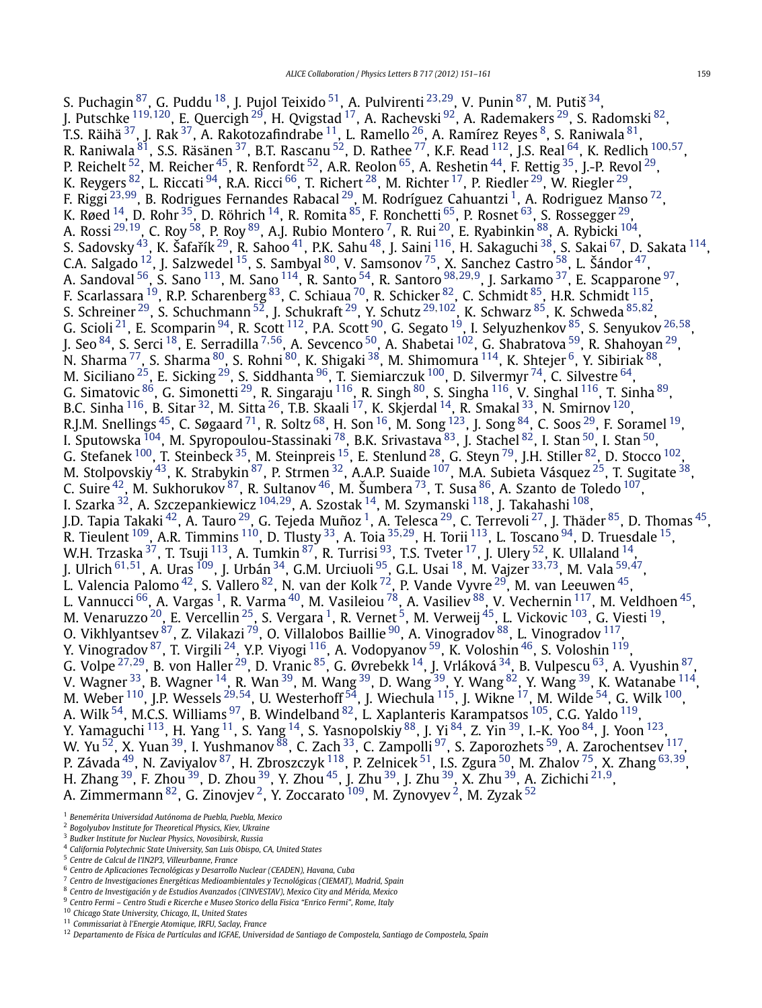<span id="page-8-0"></span>S. Puchagin [87,](#page-9-0) G. Puddu [18,](#page-9-0) J. Pujol Teixido [51](#page-9-0), A. Pulvirenti [23](#page-9-0)*,*[29,](#page-9-0) V. Punin [87,](#page-9-0) M. Putiš [34,](#page-9-0) J. Putschke [119](#page-10-0)*,*[120](#page-10-0), E. Quercigh [29,](#page-9-0) H. Qvigstad [17](#page-9-0), A. Rachevski [92,](#page-9-0) A. Rademakers [29,](#page-9-0) S. Radomski [82,](#page-9-0) T.S. Räihä $^{\rm 37}$  $^{\rm 37}$  $^{\rm 37}$ , J. Rak $^{\rm 37}$ , A. Rakotozafindrabe $^{\rm 11}$ , L. Ramello $^{\rm 26}$ , A. Ramírez Reyes $^{\rm 8}$ , S. Raniwala $^{\rm 81}$ , R. Raniwala [81,](#page-9-0) S.S. Räsänen [37,](#page-9-0) B.T. Rascanu [52,](#page-9-0) D. Rathee [77,](#page-9-0) K.F. Read [112,](#page-10-0) J.S. Real [64,](#page-9-0) K. Redlich [100](#page-10-0)*,*[57,](#page-9-0) P. Reichelt  $^{52}$ , M. Reicher  $^{45}$ , R. Renfordt  $^{52}$ , A.R. Reolon  $^{65}$ , A. Reshetin  $^{44}$ , F. Rettig  $^{35}$ , J.-P. Revol  $^{29}$ , K. Reygers  $^{82}$ , L. Riccati  $^{94}$ , R.A. Ricci  $^{66}$ , T. Richert  $^{28}$  $^{28}$  $^{28}$ , M. Richter  $^{17}$ , P. Riedler  $^{29}$  $^{29}$  $^{29}$ , W. Riegler  $^{29}$ , F. Riggi [23](#page-9-0)*,*[99,](#page-10-0) B. Rodrigues Fernandes Rabacal [29](#page-9-0), M. Rodríguez Cahuantzi 1, A. Rodriguez Manso [72](#page-9-0), K. Røed  $^{14}$ , D. Rohr  $^{35}$ , D. Röhrich  $^{14}$ , R. Romita  $^{85}$  $^{85}$  $^{85}$ , F. Ronchetti  $^{65}$ , P. Rosnet  $^{63}$ , S. Rossegger  $^{29}$ , A. Rossi [29](#page-9-0)*,*[19,](#page-9-0) C. Roy [58,](#page-9-0) P. Roy [89,](#page-9-0) A.J. Rubio Montero 7, R. Rui [20,](#page-9-0) E. Ryabinkin [88,](#page-9-0) A. Rybicki [104,](#page-10-0) S. Sadovsky $^{43}$ , K. Šafařík $^{29}$ , R. Sahoo $^{41}$  $^{41}$  $^{41}$ , P.K. Sahu $^{48}$ , J. Saini  $^{116}$ , H. Sakaguchi  $^{38}$ , S. Sakai  $^{67}$ , D. Sakata  $^{114}$ , C.A. Salgado  $^{12}$ , J. Salzwedel  $^{15}$ , S. Sambyal  $^{80}$ , V. Samsonov  $^{75}$ , X. Sanchez Castro  $^{58}$ , L. Šándor  $^{47}$ , A. Sandoval [56,](#page-9-0) S. Sano [113,](#page-10-0) M. Sano [114,](#page-10-0) R. Santo [54,](#page-9-0) R. Santoro [98](#page-10-0)*,*[29](#page-9-0)*,*9, J. Sarkamo [37,](#page-9-0) E. Scapparone [97,](#page-10-0) F. Scarlassara <sup>19</sup>, R.P. Scharenberg  $^{83}$ , C. Schiaua <sup>70</sup>, R. Schicker  $^{82}$ , C. Schmidt  $^{85}$ , H.R. Schmidt  $^{115}$ , S. Schreiner [29,](#page-9-0) S. Schuchmann [52,](#page-9-0) J. Schukraft [29,](#page-9-0) Y. Schutz [29](#page-9-0)*,*[102,](#page-10-0) K. Schwarz [85,](#page-9-0) K. Schweda [85](#page-9-0)*,*[82](#page-9-0), G. Scioli [21,](#page-9-0) E. Scomparin [94,](#page-10-0) R. Scott [112,](#page-10-0) P.A. Scott [90,](#page-9-0) G. Segato [19,](#page-9-0) I. Selyuzhenkov [85,](#page-9-0) S. Senyukov [26](#page-9-0)*,*[58](#page-9-0), J. Seo [84](#page-9-0), S. Serci [18,](#page-9-0) E. Serradilla <sup>7</sup>*,*[56,](#page-9-0) A. Sevcenco [50,](#page-9-0) A. Shabetai [102,](#page-10-0) G. Shabratova [59,](#page-9-0) R. Shahoyan [29,](#page-9-0) N. Sharma <sup>77</sup>, S. Sharma <sup>80</sup>, S. Rohni <sup>80</sup>, K. Shigaki <sup>38</sup>, M. Shimomura <sup>114</sup>, K. Shtejer <sup>6</sup>, Y. Sibiriak <sup>88</sup>, M. Siciliano  $^{25}$ , E. Sicking  $^{29}$ , S. Siddhanta  $^{96}$ , T. Siemiarczuk  $^{100}$ , D. Silvermyr  $^{74}$ , C. Silvestre  $^{64},$ G. Simatovic <sup>86</sup>, G. Simonetti <sup>29</sup>, R. Singaraju <sup>116</sup>, R. Singh <sup>80</sup>, S. Singha <sup>116</sup>, V. Singhal <sup>116</sup>, T. Sinha <sup>89</sup>, B.C. Sinha $^{116}$ , B. Sitar $^{32}$ , M. Sitta $^{26}$ , T.B. Skaali $^{17}$  $^{17}$  $^{17}$ , K. Skjerdal $^{14}$ , R. Smakal $^{33}$ , N. Smirnov $^{120}$ , R.J.M. Snellings  $^{45}$  $^{45}$  $^{45}$ , C. Søgaard  $^{71}$ , R. Soltz  $^{68}$ , H. Son  $^{16}$ , M. Song  $^{123}$ , J. Song  $^{84}$ , C. Soos  $^{29}$ , F. Soramel  $^{19}$  $^{19}$  $^{19}$ , I. Sputowska <sup>104</sup>, M. Spyropoulou-Stassinaki <sup>78</sup>, B.K. Srivastava <sup>83</sup>, J. Stachel <sup>82</sup>, I. Stan <sup>50</sup>, I. Stan <sup>50</sup>, G. Stefanek  $^{100}$  $^{100}$  $^{100}$ , T. Steinbeck  $^{35}$ , M. Steinpreis  $^{15}$ , E. Stenlund  $^{28}$ , G. Steyn  $^{79}$ , J.H. Stiller  $^{82}$ , D. Stocco  $^{102}$ , M. Stolpovskiy <sup>43</sup>, K. Strabykin <sup>87</sup>, P. Strmen <sup>32</sup>, A.A.P. Suaide <sup>107</sup>, M.A. Subieta Vásquez <sup>25</sup>, T. Sugitate <sup>38</sup>, C. Suire  $^{42}$ , M. Sukhorukov  $^{87}$ , R. Sultanov  $^{46}$ , M. Šumbera  $^{73}$ , T. Susa  $^{86}$ , A. Szanto de Toledo  $^{107}$ , I. Szarka [32,](#page-9-0) A. Szczepankiewicz [104](#page-10-0)*,*[29](#page-9-0), A. Szostak [14,](#page-9-0) M. Szymanski [118,](#page-10-0) J. Takahashi [108,](#page-10-0) J.D. Tapia Takaki <sup>42</sup>, A. Tauro <sup>[29](#page-9-0)</sup>, G. Tejeda Muñoz <sup>1</sup>, A. Telesca <sup>29</sup>, C. Terrevoli <sup>27</sup>, J. Thäder <sup>[85](#page-9-0)</sup>, D. Thomas <sup>45</sup>, R. Tieulent [109,](#page-10-0) A.R. Timmins [110,](#page-10-0) D. Tlusty [33,](#page-9-0) A. Toia [35](#page-9-0)*,*[29,](#page-9-0) H. Torii [113,](#page-10-0) L. Toscano [94,](#page-10-0) D. Truesdale [15,](#page-9-0) W.H. Trzaska  $^{37}$ , T. Tsuji  $^{113}$ , A. Tumkin  $^{87}$ , R. Turrisi  $^{93}$ , T.S. Tveter  $^{17}$ , J. Ulery  $^{52}$ , K. Ullaland  $^{14}$ , J. Ulrich [61](#page-9-0)*,*[51,](#page-9-0) A. Uras [109,](#page-10-0) J. Urbán [34,](#page-9-0) G.M. Urciuoli [95,](#page-10-0) G.L. Usai [18,](#page-9-0) M. Vajzer [33](#page-9-0)*,*[73,](#page-9-0) M. Vala [59](#page-9-0)*,*[47,](#page-9-0) L. Valencia Palomo $^{42}$ , S. Vallero $^{82}$ , N. van der Kolk $^{72}$ , P. Vande Vyvre $^{29}$ , M. van Leeuwen $^{45},$ L. Vannucci <sup>66</sup>, A. Vargas <sup>1</sup>, R. Varma <sup>40</sup>, M. Vasileiou <sup>[78](#page-9-0)</sup>, A. Vasiliev <sup>88</sup>, V. Vechernin <sup>117</sup>, M. Veldhoen <sup>45</sup>, M. Venaruzzo $^{20}$ , E. Vercellin $^{25}$ , S. Vergara  $^1$ , R. Vernet  $^5$ , M. Verweij  $^{45}$ , L. Vickovic  $^{103}$  $^{103}$  $^{103}$ , G. Viesti  $^{19}$ , O. Vikhlyantsev $^{87}$ , Z. Vilakazi  $^{79}$ , O. Villalobos Baillie  $^{90}$ , A. Vinogradov $^{88}$ , L. Vinogradov  $^{117},$ Y. Vinogradov <sup>87</sup>, T. Virgili <sup>24</sup>, Y.P. Viyogi <sup>116</sup>, A. Vodopyanov <sup>59</sup>, K. Voloshin <sup>46</sup>, S. Voloshin <sup>119</sup>, G. Volpe [27](#page-9-0)*,*[29,](#page-9-0) B. von Haller [29,](#page-9-0) D. Vranic [85,](#page-9-0) G. Øvrebekk [14,](#page-9-0) J. Vrláková [34,](#page-9-0) B. Vulpescu [63,](#page-9-0) A. Vyushin [87](#page-9-0), V. Wagner  $^{33}$ , B. Wagner  $^{14}$ , R. Wan  $^{39}$ , M. Wang  $^{39}$ , D. Wang  $^{39}$ , Y. Wang  $^{82}$  $^{82}$  $^{82}$ , Y. Wang  $^{39}$ , K. Watanabe  $^{114}$  $^{114}$  $^{114}$ , M. Weber [110,](#page-10-0) J.P. Wessels [29](#page-9-0)*,*[54,](#page-9-0) U. Westerhoff [54,](#page-9-0) J. Wiechula [115,](#page-10-0) J. Wikne [17,](#page-9-0) M. Wilde [54,](#page-9-0) G. Wilk [100,](#page-10-0) A. Wilk  $^{54}$ , M.C.S. Williams  $^{97}$ , B. Windelband  $^{82}$ , L. Xaplanteris Karampatsos  $^{105}$ , C.G. Yaldo  $^{119}$ , Y. Yamaguchi  $^{113}$  $^{113}$  $^{113}$ , H. Yang  $^{11}$ , S. Yang  $^{14}$ , S. Yasnopolskiy  $^{88}$ , J. Yi  $^{84}$  $^{84}$  $^{84}$ , Z. Yin  $^{39}$ , I.-K. Yoo  $^{84}$ , J. Yoon  $^{123}$ , W. Yu  $^{52}$ , X. Yuan  $^{39}$ , I. Yushmanov  $^{88}$ , C. Zach  $^{33}$  $^{33}$  $^{33}$ , C. Zampolli  $^{97}$ , S. Zaporozhets  $^{59}$ , A. Zarochentsev  $^{117},$ P. Závada [49,](#page-9-0) N. Zaviyalov [87,](#page-9-0) H. Zbroszczyk [118,](#page-10-0) P. Zelnicek [51,](#page-9-0) I.S. Zgura [50,](#page-9-0) M. Zhalov [75](#page-9-0), X. Zhang [63](#page-9-0)*,*[39,](#page-9-0) H. Zhang [39,](#page-9-0) F. Zhou [39,](#page-9-0) D. Zhou [39,](#page-9-0) Y. Zhou [45,](#page-9-0) J. Zhu [39,](#page-9-0) J. Zhu [39,](#page-9-0) X. Zhu [39,](#page-9-0) A. Zichichi [21](#page-9-0)*,*9, A. Zimmermann $^{82}$ , G. Zinovjev  $^2$ , Y. Zoccarato  $^{109}$ , M. Zynovyev  $^2$ , M. Zyzak  $^{52}$  $^{52}$  $^{52}$ 

<sup>1</sup> *Benemérita Universidad Autónoma de Puebla, Puebla, Mexico*

<sup>2</sup> *Bogolyubov Institute for Theoretical Physics, Kiev, Ukraine*

<sup>3</sup> *Budker Institute for Nuclear Physics, Novosibirsk, Russia*

<sup>4</sup> *California Polytechnic State University, San Luis Obispo, CA, United States*

<sup>5</sup> *Centre de Calcul de l'IN2P3, Villeurbanne, France*

<sup>6</sup> *Centro de Aplicaciones Tecnológicas y Desarrollo Nuclear (CEADEN), Havana, Cuba*

<sup>7</sup> *Centro de Investigaciones Energéticas Medioambientales y Tecnológicas (CIEMAT), Madrid, Spain*

<sup>8</sup> *Centro de Investigación y de Estudios Avanzados (CINVESTAV), Mexico City and Mérida, Mexico*

<sup>9</sup> *Centro Fermi – Centro Studi e Ricerche e Museo Storico della Fisica "Enrico Fermi", Rome, Italy*

<sup>10</sup> *Chicago State University, Chicago, IL, United States*

<sup>11</sup> *Commissariat à l'Energie Atomique, IRFU, Saclay, France*

<sup>12</sup> *Departamento de Física de Partículas and IGFAE, Universidad de Santiago de Compostela, Santiago de Compostela, Spain*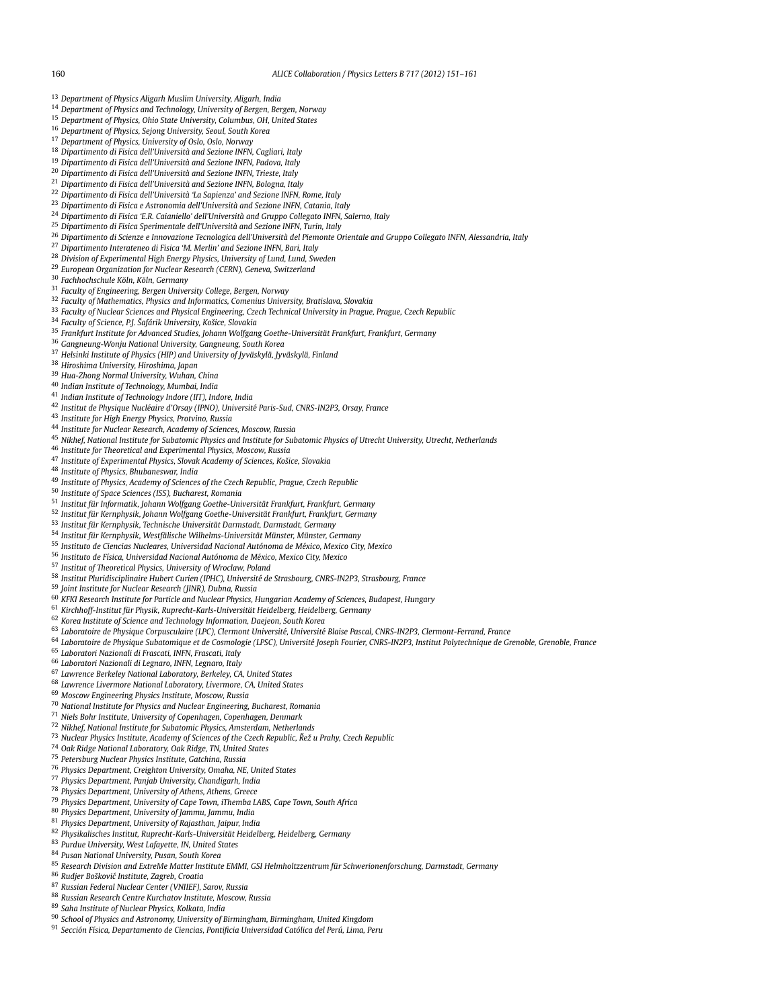- <span id="page-9-0"></span>*Department of Physics Aligarh Muslim University, Aligarh, India*
- *Department of Physics and Technology, University of Bergen, Bergen, Norway*
- *Department of Physics, Ohio State University, Columbus, OH, United States*
- *Department of Physics, Sejong University, Seoul, South Korea*
- *Department of Physics, University of Oslo, Oslo, Norway*
- *Dipartimento di Fisica dell'Università and Sezione INFN, Cagliari, Italy*
- *Dipartimento di Fisica dell'Università and Sezione INFN, Padova, Italy*
- *Dipartimento di Fisica dell'Università and Sezione INFN, Trieste, Italy*
- *Dipartimento di Fisica dell'Università and Sezione INFN, Bologna, Italy*
- *Dipartimento di Fisica dell'Università 'La Sapienza' and Sezione INFN, Rome, Italy*
- *Dipartimento di Fisica e Astronomia dell'Università and Sezione INFN, Catania, Italy*
- *Dipartimento di Fisica 'E.R. Caianiello' dell'Università and Gruppo Collegato INFN, Salerno, Italy*
- *Dipartimento di Fisica Sperimentale dell'Università and Sezione INFN, Turin, Italy*
- *Dipartimento di Scienze e Innovazione Tecnologica dell'Università del Piemonte Orientale and Gruppo Collegato INFN, Alessandria, Italy*
- *Dipartimento Interateneo di Fisica 'M. Merlin' and Sezione INFN, Bari, Italy*
- *Division of Experimental High Energy Physics, University of Lund, Lund, Sweden*
- *European Organization for Nuclear Research (CERN), Geneva, Switzerland*
- *Fachhochschule Köln, Köln, Germany*
- *Faculty of Engineering, Bergen University College, Bergen, Norway*
- *Faculty of Mathematics, Physics and Informatics, Comenius University, Bratislava, Slovakia*
- *Faculty of Nuclear Sciences and Physical Engineering, Czech Technical University in Prague, Prague, Czech Republic*
- *Faculty of Science, P.J. Šafárik University, Košice, Slovakia*
- *Frankfurt Institute for Advanced Studies, Johann Wolfgang Goethe-Universität Frankfurt, Frankfurt, Germany*
- *Gangneung-Wonju National University, Gangneung, South Korea*
- *Helsinki Institute of Physics (HIP) and University of Jyväskylä, Jyväskylä, Finland*
- *Hiroshima University, Hiroshima, Japan*
- *Hua-Zhong Normal University, Wuhan, China*
- *Indian Institute of Technology, Mumbai, India*
- *Indian Institute of Technology Indore (IIT), Indore, India*
- *Institut de Physique Nucléaire d'Orsay (IPNO), Université Paris-Sud, CNRS-IN2P3, Orsay, France*
- *Institute for High Energy Physics, Protvino, Russia*
- *Institute for Nuclear Research, Academy of Sciences, Moscow, Russia*
- *Nikhef, National Institute for Subatomic Physics and Institute for Subatomic Physics of Utrecht University, Utrecht, Netherlands*
- *Institute for Theoretical and Experimental Physics, Moscow, Russia*
- *Institute of Experimental Physics, Slovak Academy of Sciences, Košice, Slovakia*
- *Institute of Physics, Bhubaneswar, India*
- *Institute of Physics, Academy of Sciences of the Czech Republic, Prague, Czech Republic*
- *Institute of Space Sciences (ISS), Bucharest, Romania*
- *Institut für Informatik, Johann Wolfgang Goethe-Universität Frankfurt, Frankfurt, Germany*
- *Institut für Kernphysik, Johann Wolfgang Goethe-Universität Frankfurt, Frankfurt, Germany*
- *Institut für Kernphysik, Technische Universität Darmstadt, Darmstadt, Germany*
- *Institut für Kernphysik, Westfälische Wilhelms-Universität Münster, Münster, Germany*
- *Instituto de Ciencias Nucleares, Universidad Nacional Autónoma de México, Mexico City, Mexico*
- *Instituto de Física, Universidad Nacional Autónoma de México, Mexico City, Mexico*
- *Institut of Theoretical Physics, University of Wroclaw, Poland*
- *Institut Pluridisciplinaire Hubert Curien (IPHC), Université de Strasbourg, CNRS-IN2P3, Strasbourg, France*
- *Joint Institute for Nuclear Research (JINR), Dubna, Russia*
- *KFKI Research Institute for Particle and Nuclear Physics, Hungarian Academy of Sciences, Budapest, Hungary*
- *Kirchhoff-Institut für Physik, Ruprecht-Karls-Universität Heidelberg, Heidelberg, Germany*
- *Korea Institute of Science and Technology Information, Daejeon, South Korea*
- *Laboratoire de Physique Corpusculaire (LPC), Clermont Université, Université Blaise Pascal, CNRS-IN2P3, Clermont-Ferrand, France*
- *Laboratoire de Physique Subatomique et de Cosmologie (LPSC), Université Joseph Fourier, CNRS-IN2P3, Institut Polytechnique de Grenoble, Grenoble, France*
- *Laboratori Nazionali di Frascati, INFN, Frascati, Italy*
- *Laboratori Nazionali di Legnaro, INFN, Legnaro, Italy*
- *Lawrence Berkeley National Laboratory, Berkeley, CA, United States*
- *Lawrence Livermore National Laboratory, Livermore, CA, United States*
- *Moscow Engineering Physics Institute, Moscow, Russia*
- *National Institute for Physics and Nuclear Engineering, Bucharest, Romania*
- *Niels Bohr Institute, University of Copenhagen, Copenhagen, Denmark*
- *Nikhef, National Institute for Subatomic Physics, Amsterdam, Netherlands*
- 
- *Nuclear Physics Institute, Academy of Sciences of the Czech Republic, Rež u Prahy, Czech Republic ˇ*
- *Oak Ridge National Laboratory, Oak Ridge, TN, United States*
- *Petersburg Nuclear Physics Institute, Gatchina, Russia*
- *Physics Department, Creighton University, Omaha, NE, United States*
- *Physics Department, Panjab University, Chandigarh, India*
- *Physics Department, University of Athens, Athens, Greece*
- *Physics Department, University of Cape Town, iThemba LABS, Cape Town, South Africa*
- *Physics Department, University of Jammu, Jammu, India*
- *Physics Department, University of Rajasthan, Jaipur, India*
- *Physikalisches Institut, Ruprecht-Karls-Universität Heidelberg, Heidelberg, Germany*
- *Purdue University, West Lafayette, IN, United States*
- *Pusan National University, Pusan, South Korea*
- *Research Division and ExtreMe Matter Institute EMMI, GSI Helmholtzzentrum für Schwerionenforschung, Darmstadt, Germany*
- *Rudjer Boškovi´c Institute, Zagreb, Croatia*
- *Russian Federal Nuclear Center (VNIIEF), Sarov, Russia*
- *Russian Research Centre Kurchatov Institute, Moscow, Russia*
- *Saha Institute of Nuclear Physics, Kolkata, India*
- *School of Physics and Astronomy, University of Birmingham, Birmingham, United Kingdom*
- *Sección Física, Departamento de Ciencias, Pontificia Universidad Católica del Perú, Lima, Peru*